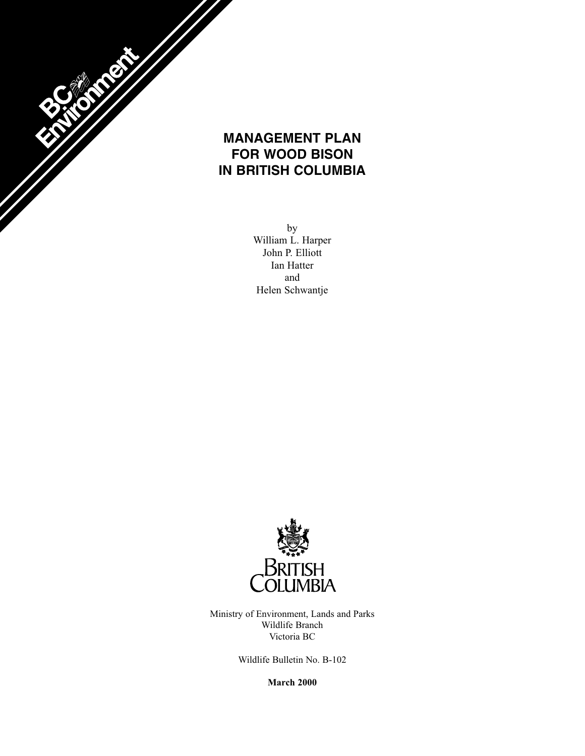

# **MANAGEMENT PLAN FOR WOOD BISON IN BRITISH COLUMBIA**

by William L. Harper John P. Elliott Ian Hatter and Helen Schwantje



Ministry of Environment, Lands and Parks Wildlife Branch Victoria BC

Wildlife Bulletin No. B-102

**March 2000**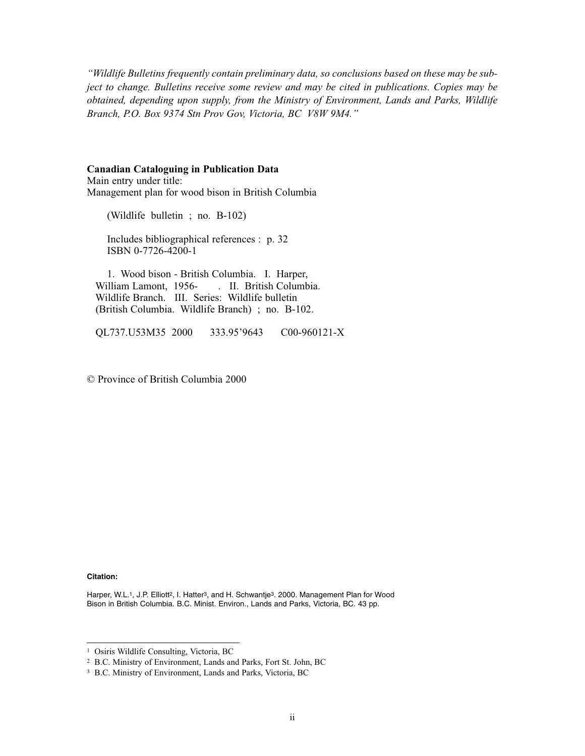*"Wildlife Bulletins frequently contain preliminary data, so conclusions based on these may be subject to change. Bulletins receive some review and may be cited in publications. Copies may be obtained, depending upon supply, from the Ministry of Environment, Lands and Parks, Wildlife Branch, P.O. Box 9374 Stn Prov Gov, Victoria, BC V8W 9M4."*

#### **Canadian Cataloguing in Publication Data**

Main entry under title: Management plan for wood bison in British Columbia

(Wildlife bulletin ; no. B-102)

Includes bibliographical references : p. 32 ISBN 0-7726-4200-1

1. Wood bison - British Columbia. I. Harper, . II. British Columbia. Wildlife Branch. III. Series: Wildlife bulletin (British Columbia. Wildlife Branch) ; no. B-102.

QL737.U53M35 2000 333.95'9643 C00-960121-X

© Province of British Columbia 2000

#### **Citation:**

Harper, W.L.1, J.P. Elliott<sup>2</sup>, I. Hatter<sup>3</sup>, and H. Schwantje<sup>3</sup>. 2000. Management Plan for Wood Bison in British Columbia. B.C. Minist. Environ., Lands and Parks, Victoria, BC. 43 pp.

<sup>1</sup> Osiris Wildlife Consulting, Victoria, BC

<sup>2</sup> B.C. Ministry of Environment, Lands and Parks, Fort St. John, BC

<sup>3</sup> B.C. Ministry of Environment, Lands and Parks, Victoria, BC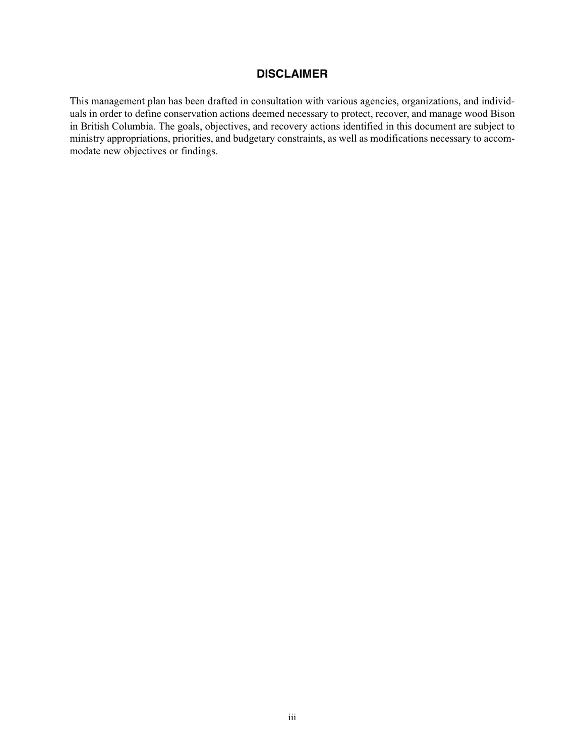### **DISCLAIMER**

This management plan has been drafted in consultation with various agencies, organizations, and individuals in order to define conservation actions deemed necessary to protect, recover, and manage wood Bison in British Columbia. The goals, objectives, and recovery actions identified in this document are subject to ministry appropriations, priorities, and budgetary constraints, as well as modifications necessary to accommodate new objectives or findings.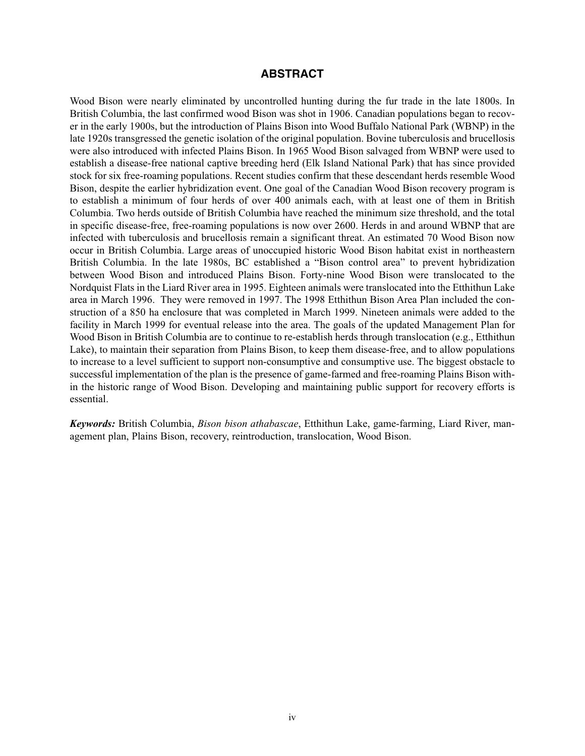#### **ABSTRACT**

Wood Bison were nearly eliminated by uncontrolled hunting during the fur trade in the late 1800s. In British Columbia, the last confirmed wood Bison was shot in 1906. Canadian populations began to recover in the early 1900s, but the introduction of Plains Bison into Wood Buffalo National Park (WBNP) in the late 1920s transgressed the genetic isolation of the original population. Bovine tuberculosis and brucellosis were also introduced with infected Plains Bison. In 1965 Wood Bison salvaged from WBNP were used to establish a disease-free national captive breeding herd (Elk Island National Park) that has since provided stock for six free-roaming populations. Recent studies confirm that these descendant herds resemble Wood Bison, despite the earlier hybridization event. One goal of the Canadian Wood Bison recovery program is to establish a minimum of four herds of over 400 animals each, with at least one of them in British Columbia. Two herds outside of British Columbia have reached the minimum size threshold, and the total in specific disease-free, free-roaming populations is now over 2600. Herds in and around WBNP that are infected with tuberculosis and brucellosis remain a significant threat. An estimated 70 Wood Bison now occur in British Columbia. Large areas of unoccupied historic Wood Bison habitat exist in northeastern British Columbia. In the late 1980s, BC established a "Bison control area" to prevent hybridization between Wood Bison and introduced Plains Bison. Forty-nine Wood Bison were translocated to the Nordquist Flats in the Liard River area in 1995. Eighteen animals were translocated into the Etthithun Lake area in March 1996. They were removed in 1997. The 1998 Etthithun Bison Area Plan included the construction of a 850 ha enclosure that was completed in March 1999. Nineteen animals were added to the facility in March 1999 for eventual release into the area. The goals of the updated Management Plan for Wood Bison in British Columbia are to continue to re-establish herds through translocation (e.g., Etthithun Lake), to maintain their separation from Plains Bison, to keep them disease-free, and to allow populations to increase to a level sufficient to support non-consumptive and consumptive use. The biggest obstacle to successful implementation of the plan is the presence of game-farmed and free-roaming Plains Bison within the historic range of Wood Bison. Developing and maintaining public support for recovery efforts is essential.

*Keywords:* British Columbia, *Bison bison athabascae*, Etthithun Lake, game-farming, Liard River, management plan, Plains Bison, recovery, reintroduction, translocation, Wood Bison.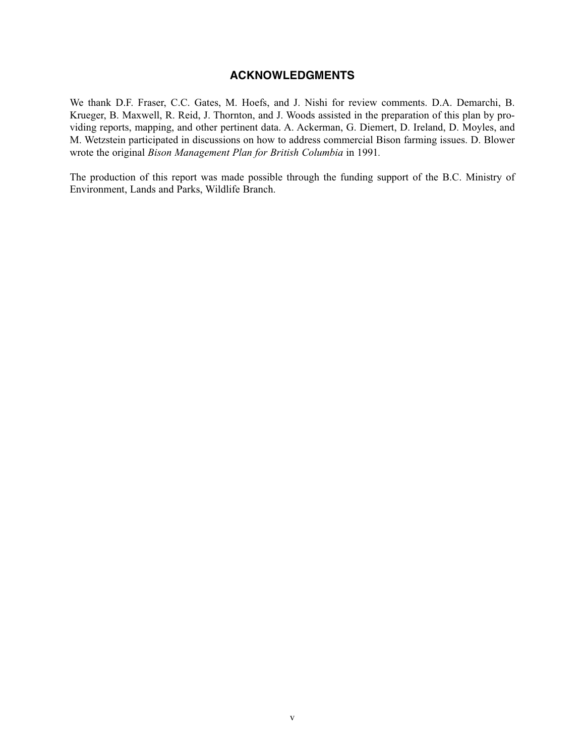### **ACKNOWLEDGMENTS**

We thank D.F. Fraser, C.C. Gates, M. Hoefs, and J. Nishi for review comments. D.A. Demarchi, B. Krueger, B. Maxwell, R. Reid, J. Thornton, and J. Woods assisted in the preparation of this plan by providing reports, mapping, and other pertinent data. A. Ackerman, G. Diemert, D. Ireland, D. Moyles, and M. Wetzstein participated in discussions on how to address commercial Bison farming issues. D. Blower wrote the original *Bison Management Plan for British Columbia* in 1991*.*

The production of this report was made possible through the funding support of the B.C. Ministry of Environment, Lands and Parks, Wildlife Branch.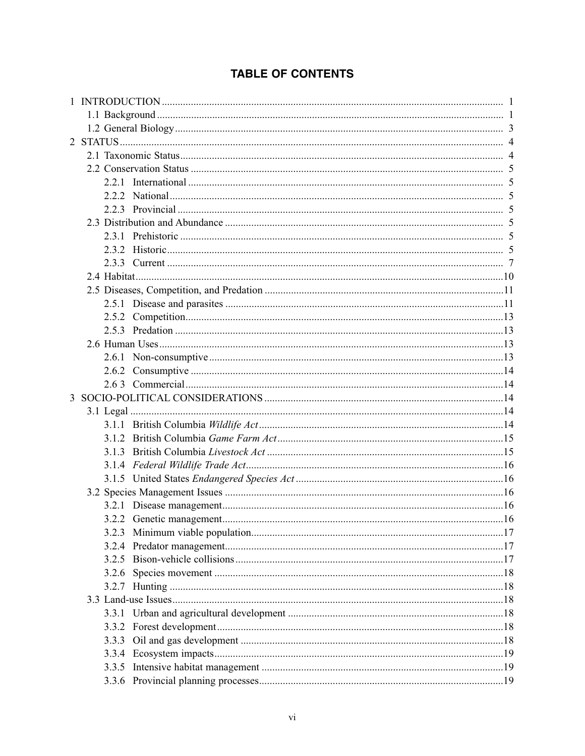# **TABLE OF CONTENTS**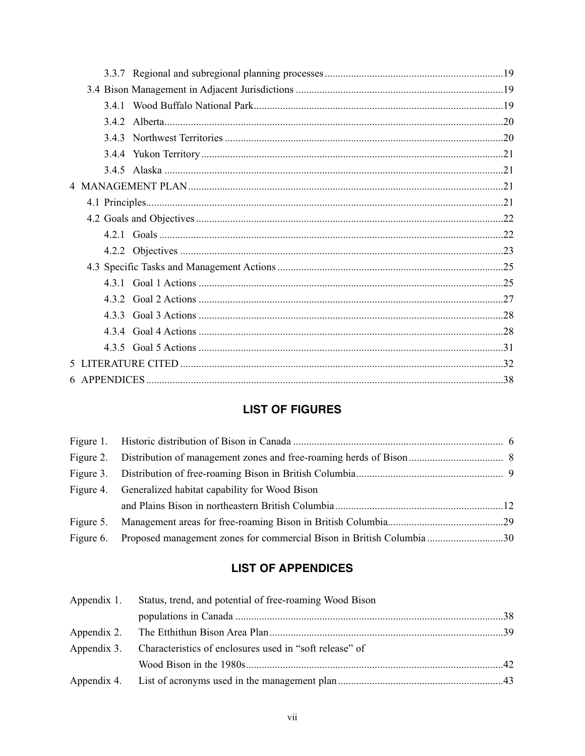# **LIST OF FIGURES**

| Figure 4. Generalized habitat capability for Wood Bison                        |  |
|--------------------------------------------------------------------------------|--|
|                                                                                |  |
|                                                                                |  |
| Figure 6. Proposed management zones for commercial Bison in British Columbia30 |  |

# **LIST OF APPENDICES**

| Appendix 1. Status, trend, and potential of free-roaming Wood Bison |  |
|---------------------------------------------------------------------|--|
|                                                                     |  |
|                                                                     |  |
| Appendix 3. Characteristics of enclosures used in "soft release" of |  |
|                                                                     |  |
|                                                                     |  |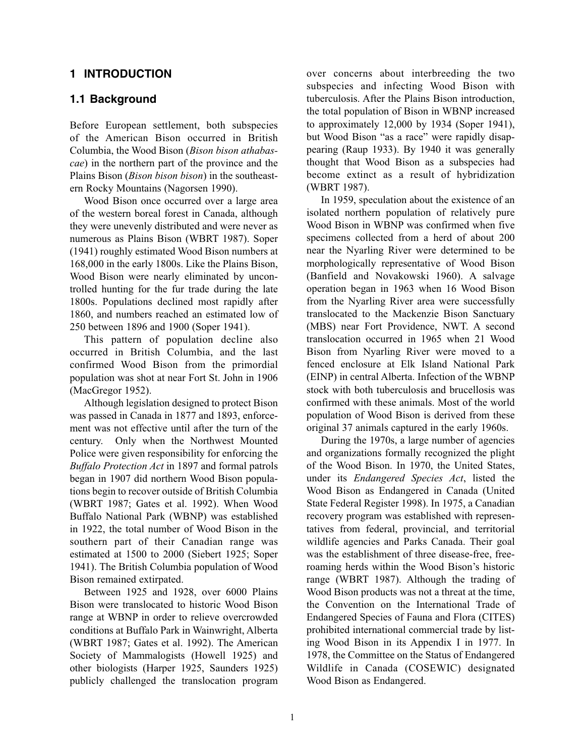#### **1 INTRODUCTION**

#### **1.1 Background**

Before European settlement, both subspecies of the American Bison occurred in British Columbia, the Wood Bison (*Bison bison athabascae*) in the northern part of the province and the Plains Bison (*Bison bison bison*) in the southeastern Rocky Mountains (Nagorsen 1990).

Wood Bison once occurred over a large area of the western boreal forest in Canada, although they were unevenly distributed and were never as numerous as Plains Bison (WBRT 1987). Soper (1941) roughly estimated Wood Bison numbers at 168,000 in the early 1800s. Like the Plains Bison, Wood Bison were nearly eliminated by uncontrolled hunting for the fur trade during the late 1800s. Populations declined most rapidly after 1860, and numbers reached an estimated low of 250 between 1896 and 1900 (Soper 1941).

This pattern of population decline also occurred in British Columbia, and the last confirmed Wood Bison from the primordial population was shot at near Fort St. John in 1906 (MacGregor 1952).

Although legislation designed to protect Bison was passed in Canada in 1877 and 1893, enforcement was not effective until after the turn of the century. Only when the Northwest Mounted Police were given responsibility for enforcing the *Buffalo Protection Act* in 1897 and formal patrols began in 1907 did northern Wood Bison populations begin to recover outside of British Columbia (WBRT 1987; Gates et al. 1992). When Wood Buffalo National Park (WBNP) was established in 1922, the total number of Wood Bison in the southern part of their Canadian range was estimated at 1500 to 2000 (Siebert 1925; Soper 1941). The British Columbia population of Wood Bison remained extirpated.

Between 1925 and 1928, over 6000 Plains Bison were translocated to historic Wood Bison range at WBNP in order to relieve overcrowded conditions at Buffalo Park in Wainwright, Alberta (WBRT 1987; Gates et al. 1992). The American Society of Mammalogists (Howell 1925) and other biologists (Harper 1925, Saunders 1925) publicly challenged the translocation program

over concerns about interbreeding the two subspecies and infecting Wood Bison with tuberculosis. After the Plains Bison introduction, the total population of Bison in WBNP increased to approximately 12,000 by 1934 (Soper 1941), but Wood Bison "as a race" were rapidly disappearing (Raup 1933). By 1940 it was generally thought that Wood Bison as a subspecies had become extinct as a result of hybridization (WBRT 1987).

In 1959, speculation about the existence of an isolated northern population of relatively pure Wood Bison in WBNP was confirmed when five specimens collected from a herd of about 200 near the Nyarling River were determined to be morphologically representative of Wood Bison (Banfield and Novakowski 1960). A salvage operation began in 1963 when 16 Wood Bison from the Nyarling River area were successfully translocated to the Mackenzie Bison Sanctuary (MBS) near Fort Providence, NWT. A second translocation occurred in 1965 when 21 Wood Bison from Nyarling River were moved to a fenced enclosure at Elk Island National Park (EINP) in central Alberta. Infection of the WBNP stock with both tuberculosis and brucellosis was confirmed with these animals. Most of the world population of Wood Bison is derived from these original 37 animals captured in the early 1960s.

During the 1970s, a large number of agencies and organizations formally recognized the plight of the Wood Bison. In 1970, the United States, under its *Endangered Species Act*, listed the Wood Bison as Endangered in Canada (United State Federal Register 1998). In 1975, a Canadian recovery program was established with representatives from federal, provincial, and territorial wildlife agencies and Parks Canada. Their goal was the establishment of three disease-free, freeroaming herds within the Wood Bison's historic range (WBRT 1987). Although the trading of Wood Bison products was not a threat at the time, the Convention on the International Trade of Endangered Species of Fauna and Flora (CITES) prohibited international commercial trade by listing Wood Bison in its Appendix I in 1977. In 1978, the Committee on the Status of Endangered Wildlife in Canada (COSEWIC) designated Wood Bison as Endangered.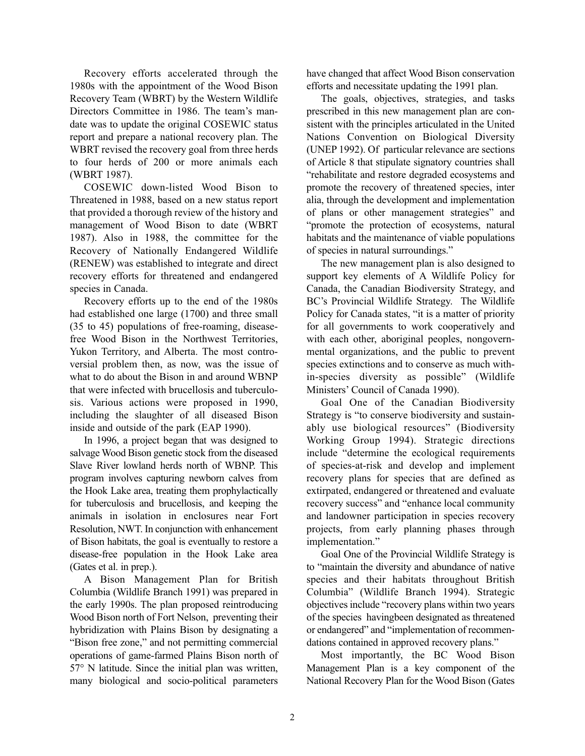Recovery efforts accelerated through the 1980s with the appointment of the Wood Bison Recovery Team (WBRT) by the Western Wildlife Directors Committee in 1986. The team's mandate was to update the original COSEWIC status report and prepare a national recovery plan. The WBRT revised the recovery goal from three herds to four herds of 200 or more animals each (WBRT 1987).

COSEWIC down-listed Wood Bison to Threatened in 1988, based on a new status report that provided a thorough review of the history and management of Wood Bison to date (WBRT 1987). Also in 1988, the committee for the Recovery of Nationally Endangered Wildlife (RENEW) was established to integrate and direct recovery efforts for threatened and endangered species in Canada.

Recovery efforts up to the end of the 1980s had established one large (1700) and three small (35 to 45) populations of free-roaming, diseasefree Wood Bison in the Northwest Territories, Yukon Territory, and Alberta. The most controversial problem then, as now, was the issue of what to do about the Bison in and around WBNP that were infected with brucellosis and tuberculosis. Various actions were proposed in 1990, including the slaughter of all diseased Bison inside and outside of the park (EAP 1990).

In 1996, a project began that was designed to salvage Wood Bison genetic stock from the diseased Slave River lowland herds north of WBNP. This program involves capturing newborn calves from the Hook Lake area, treating them prophylactically for tuberculosis and brucellosis, and keeping the animals in isolation in enclosures near Fort Resolution, NWT. In conjunction with enhancement of Bison habitats, the goal is eventually to restore a disease-free population in the Hook Lake area (Gates et al. in prep.).

A Bison Management Plan for British Columbia (Wildlife Branch 1991) was prepared in the early 1990s. The plan proposed reintroducing Wood Bison north of Fort Nelson, preventing their hybridization with Plains Bison by designating a "Bison free zone," and not permitting commercial operations of game-farmed Plains Bison north of 57° N latitude. Since the initial plan was written, many biological and socio-political parameters

have changed that affect Wood Bison conservation efforts and necessitate updating the 1991 plan.

The goals, objectives, strategies, and tasks prescribed in this new management plan are consistent with the principles articulated in the United Nations Convention on Biological Diversity (UNEP 1992). Of particular relevance are sections of Article 8 that stipulate signatory countries shall "rehabilitate and restore degraded ecosystems and promote the recovery of threatened species, inter alia, through the development and implementation of plans or other management strategies" and "promote the protection of ecosystems, natural habitats and the maintenance of viable populations of species in natural surroundings."

The new management plan is also designed to support key elements of A Wildlife Policy for Canada, the Canadian Biodiversity Strategy, and BC's Provincial Wildlife Strategy. The Wildlife Policy for Canada states, "it is a matter of priority for all governments to work cooperatively and with each other, aboriginal peoples, nongovernmental organizations, and the public to prevent species extinctions and to conserve as much within-species diversity as possible" (Wildlife Ministers' Council of Canada 1990).

Goal One of the Canadian Biodiversity Strategy is "to conserve biodiversity and sustainably use biological resources" (Biodiversity Working Group 1994). Strategic directions include "determine the ecological requirements of species-at-risk and develop and implement recovery plans for species that are defined as extirpated, endangered or threatened and evaluate recovery success" and "enhance local community and landowner participation in species recovery projects, from early planning phases through implementation."

Goal One of the Provincial Wildlife Strategy is to "maintain the diversity and abundance of native species and their habitats throughout British Columbia" (Wildlife Branch 1994). Strategic objectives include "recovery plans within two years of the species havingbeen designated as threatened or endangered" and "implementation of recommendations contained in approved recovery plans."

Most importantly, the BC Wood Bison Management Plan is a key component of the National Recovery Plan for the Wood Bison (Gates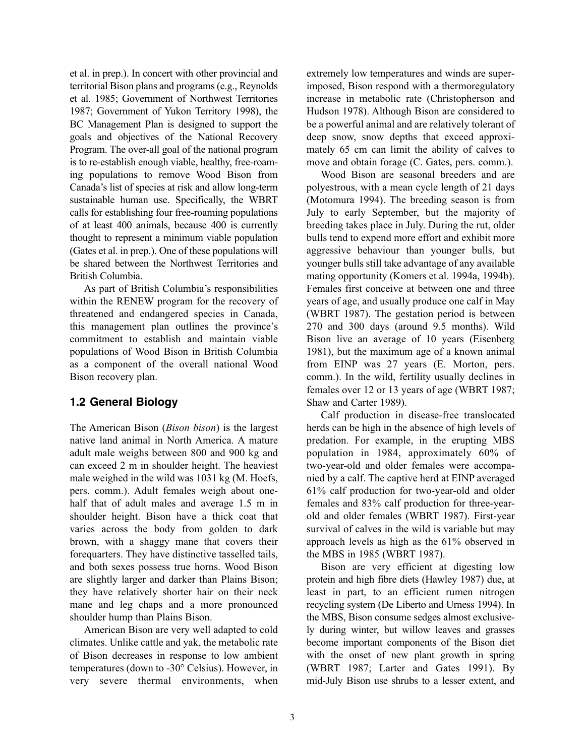et al. in prep.). In concert with other provincial and territorial Bison plans and programs (e.g., Reynolds et al. 1985; Government of Northwest Territories 1987; Government of Yukon Territory 1998), the BC Management Plan is designed to support the goals and objectives of the National Recovery Program. The over-all goal of the national program is to re-establish enough viable, healthy, free-roaming populations to remove Wood Bison from Canada's list of species at risk and allow long-term sustainable human use. Specifically, the WBRT calls for establishing four free-roaming populations of at least 400 animals, because 400 is currently thought to represent a minimum viable population (Gates et al. in prep.). One of these populations will be shared between the Northwest Territories and British Columbia.

As part of British Columbia's responsibilities within the RENEW program for the recovery of threatened and endangered species in Canada, this management plan outlines the province's commitment to establish and maintain viable populations of Wood Bison in British Columbia as a component of the overall national Wood Bison recovery plan.

### **1.2 General Biology**

The American Bison (*Bison bison*) is the largest native land animal in North America. A mature adult male weighs between 800 and 900 kg and can exceed 2 m in shoulder height. The heaviest male weighed in the wild was 1031 kg (M. Hoefs, pers. comm.). Adult females weigh about onehalf that of adult males and average 1.5 m in shoulder height. Bison have a thick coat that varies across the body from golden to dark brown, with a shaggy mane that covers their forequarters. They have distinctive tasselled tails, and both sexes possess true horns. Wood Bison are slightly larger and darker than Plains Bison; they have relatively shorter hair on their neck mane and leg chaps and a more pronounced shoulder hump than Plains Bison.

American Bison are very well adapted to cold climates. Unlike cattle and yak, the metabolic rate of Bison decreases in response to low ambient temperatures (down to -30° Celsius). However, in very severe thermal environments, when

extremely low temperatures and winds are superimposed, Bison respond with a thermoregulatory increase in metabolic rate (Christopherson and Hudson 1978). Although Bison are considered to be a powerful animal and are relatively tolerant of deep snow, snow depths that exceed approximately 65 cm can limit the ability of calves to move and obtain forage (C. Gates, pers. comm.).

Wood Bison are seasonal breeders and are polyestrous, with a mean cycle length of 21 days (Motomura 1994). The breeding season is from July to early September, but the majority of breeding takes place in July. During the rut, older bulls tend to expend more effort and exhibit more aggressive behaviour than younger bulls, but younger bulls still take advantage of any available mating opportunity (Komers et al. 1994a, 1994b). Females first conceive at between one and three years of age, and usually produce one calf in May (WBRT 1987). The gestation period is between 270 and 300 days (around 9.5 months). Wild Bison live an average of 10 years (Eisenberg 1981), but the maximum age of a known animal from EINP was 27 years (E. Morton, pers. comm.). In the wild, fertility usually declines in females over 12 or 13 years of age (WBRT 1987; Shaw and Carter 1989).

Calf production in disease-free translocated herds can be high in the absence of high levels of predation. For example, in the erupting MBS population in 1984, approximately 60% of two-year-old and older females were accompanied by a calf. The captive herd at EINP averaged 61% calf production for two-year-old and older females and 83% calf production for three-yearold and older females (WBRT 1987). First-year survival of calves in the wild is variable but may approach levels as high as the 61% observed in the MBS in 1985 (WBRT 1987).

Bison are very efficient at digesting low protein and high fibre diets (Hawley 1987) due, at least in part, to an efficient rumen nitrogen recycling system (De Liberto and Urness 1994). In the MBS, Bison consume sedges almost exclusively during winter, but willow leaves and grasses become important components of the Bison diet with the onset of new plant growth in spring (WBRT 1987; Larter and Gates 1991). By mid-July Bison use shrubs to a lesser extent, and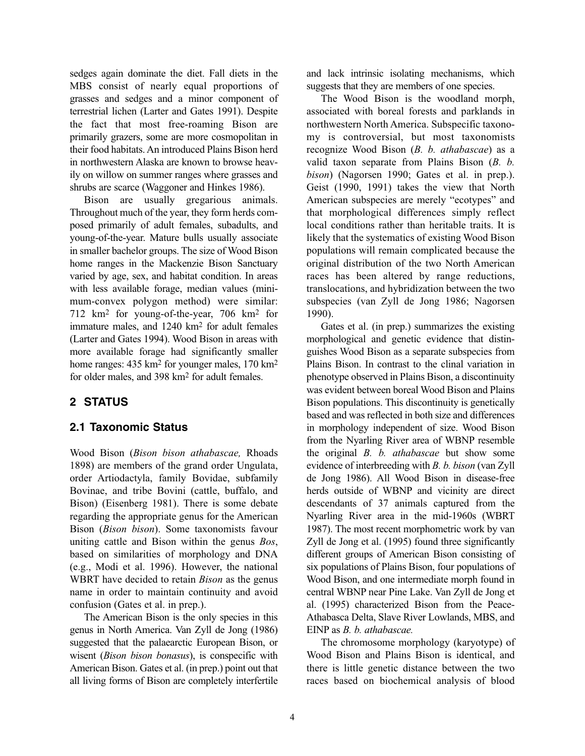sedges again dominate the diet. Fall diets in the MBS consist of nearly equal proportions of grasses and sedges and a minor component of terrestrial lichen (Larter and Gates 1991). Despite the fact that most free-roaming Bison are primarily grazers, some are more cosmopolitan in their food habitats. An introduced Plains Bison herd in northwestern Alaska are known to browse heavily on willow on summer ranges where grasses and shrubs are scarce (Waggoner and Hinkes 1986).

Bison are usually gregarious animals. Throughout much of the year, they form herds composed primarily of adult females, subadults, and young-of-the-year. Mature bulls usually associate in smaller bachelor groups. The size of Wood Bison home ranges in the Mackenzie Bison Sanctuary varied by age, sex, and habitat condition. In areas with less available forage, median values (minimum-convex polygon method) were similar: 712 km2 for young-of-the-year, 706 km2 for immature males, and 1240 km2 for adult females (Larter and Gates 1994). Wood Bison in areas with more available forage had significantly smaller home ranges: 435 km<sup>2</sup> for younger males, 170 km<sup>2</sup> for older males, and 398 km2 for adult females.

### **2 STATUS**

#### **2.1 Taxonomic Status**

Wood Bison (*Bison bison athabascae,* Rhoads 1898) are members of the grand order Ungulata, order Artiodactyla, family Bovidae, subfamily Bovinae, and tribe Bovini (cattle, buffalo, and Bison) (Eisenberg 1981). There is some debate regarding the appropriate genus for the American Bison (*Bison bison*). Some taxonomists favour uniting cattle and Bison within the genus *Bos*, based on similarities of morphology and DNA (e.g., Modi et al. 1996). However, the national WBRT have decided to retain *Bison* as the genus name in order to maintain continuity and avoid confusion (Gates et al. in prep.).

The American Bison is the only species in this genus in North America. Van Zyll de Jong (1986) suggested that the palaearctic European Bison, or wisent (*Bison bison bonasus*), is conspecific with American Bison. Gates et al. (in prep.) point out that all living forms of Bison are completely interfertile and lack intrinsic isolating mechanisms, which suggests that they are members of one species.

The Wood Bison is the woodland morph, associated with boreal forests and parklands in northwestern North America. Subspecific taxonomy is controversial, but most taxonomists recognize Wood Bison (*B. b. athabascae*) as a valid taxon separate from Plains Bison (*B. b. bison*) (Nagorsen 1990; Gates et al. in prep.). Geist (1990, 1991) takes the view that North American subspecies are merely "ecotypes" and that morphological differences simply reflect local conditions rather than heritable traits. It is likely that the systematics of existing Wood Bison populations will remain complicated because the original distribution of the two North American races has been altered by range reductions, translocations, and hybridization between the two subspecies (van Zyll de Jong 1986; Nagorsen 1990).

Gates et al. (in prep.) summarizes the existing morphological and genetic evidence that distinguishes Wood Bison as a separate subspecies from Plains Bison. In contrast to the clinal variation in phenotype observed in Plains Bison, a discontinuity was evident between boreal Wood Bison and Plains Bison populations. This discontinuity is genetically based and was reflected in both size and differences in morphology independent of size. Wood Bison from the Nyarling River area of WBNP resemble the original *B. b. athabascae* but show some evidence of interbreeding with *B. b. bison* (van Zyll de Jong 1986). All Wood Bison in disease-free herds outside of WBNP and vicinity are direct descendants of 37 animals captured from the Nyarling River area in the mid-1960s (WBRT 1987). The most recent morphometric work by van Zyll de Jong et al. (1995) found three significantly different groups of American Bison consisting of six populations of Plains Bison, four populations of Wood Bison, and one intermediate morph found in central WBNP near Pine Lake. Van Zyll de Jong et al. (1995) characterized Bison from the Peace-Athabasca Delta, Slave River Lowlands, MBS, and EINP as *B. b. athabascae.*

The chromosome morphology (karyotype) of Wood Bison and Plains Bison is identical, and there is little genetic distance between the two races based on biochemical analysis of blood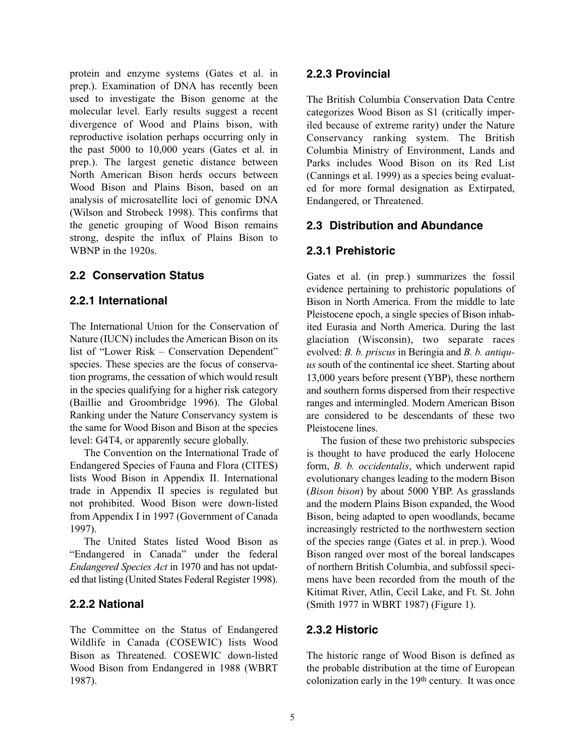protein and enzyme systems (Gates et al. in prep.). Examination of DNA has recently been used to investigate the Bison genome at the molecular level. Early results suggest a recent divergence of Wood and Plains bison, with reproductive isolation perhaps occurring only in the past 5000 to 10,000 years (Gates et al. in prep.). The largest genetic distance between North American Bison herds occurs between Wood Bison and Plains Bison, based on an analysis of microsatellite loci of genomic DNA (Wilson and Strobeck 1998). This confirms that the genetic grouping of Wood Bison remains strong, despite the influx of Plains Bison to WBNP in the 1920s.

### **2.2 Conservation Status**

### **2.2.1 International**

The International Union for the Conservation of Nature (IUCN) includes the American Bison on its list of "Lower Risk – Conservation Dependent" species. These species are the focus of conservation programs, the cessation of which would result in the species qualifying for a higher risk category (Baillie and Groombridge 1996). The Global Ranking under the Nature Conservancy system is the same for Wood Bison and Bison at the species level: G4T4, or apparently secure globally.

The Convention on the International Trade of Endangered Species of Fauna and Flora (CITES) lists Wood Bison in Appendix II. International trade in Appendix II species is regulated but not prohibited. Wood Bison were down-listed from Appendix I in 1997 (Government of Canada 1997).

The United States listed Wood Bison as "Endangered in Canada" under the federal *Endangered Species Act* in 1970 and has not updated that listing (United States Federal Register 1998).

### **2.2.2 National**

The Committee on the Status of Endangered Wildlife in Canada (COSEWIC) lists Wood Bison as Threatened. COSEWIC down-listed Wood Bison from Endangered in 1988 (WBRT 1987).

### **2.2.3 Provincial**

The British Columbia Conservation Data Centre categorizes Wood Bison as S1 (critically imperiled because of extreme rarity) under the Nature Conservancy ranking system. The British Columbia Ministry of Environment, Lands and Parks includes Wood Bison on its Red List (Cannings et al. 1999) as a species being evaluated for more formal designation as Extirpated, Endangered, or Threatened.

### **2.3 Distribution and Abundance**

### **2.3.1 Prehistoric**

Gates et al. (in prep.) summarizes the fossil evidence pertaining to prehistoric populations of Bison in North America. From the middle to late Pleistocene epoch, a single species of Bison inhabited Eurasia and North America. During the last glaciation (Wisconsin), two separate races evolved: *B. b. priscus* in Beringia and *B. b. antiquus* south of the continental ice sheet. Starting about 13,000 years before present (YBP), these northern and southern forms dispersed from their respective ranges and intermingled. Modern American Bison are considered to be descendants of these two Pleistocene lines.

The fusion of these two prehistoric subspecies is thought to have produced the early Holocene form, *B. b. occidentalis*, which underwent rapid evolutionary changes leading to the modern Bison (*Bison bison*) by about 5000 YBP. As grasslands and the modern Plains Bison expanded, the Wood Bison, being adapted to open woodlands, became increasingly restricted to the northwestern section of the species range (Gates et al. in prep.). Wood Bison ranged over most of the boreal landscapes of northern British Columbia, and subfossil specimens have been recorded from the mouth of the Kitimat River, Atlin, Cecil Lake, and Ft. St. John (Smith 1977 in WBRT 1987) (Figure 1).

### **2.3.2 Historic**

The historic range of Wood Bison is defined as the probable distribution at the time of European colonization early in the 19th century. It was once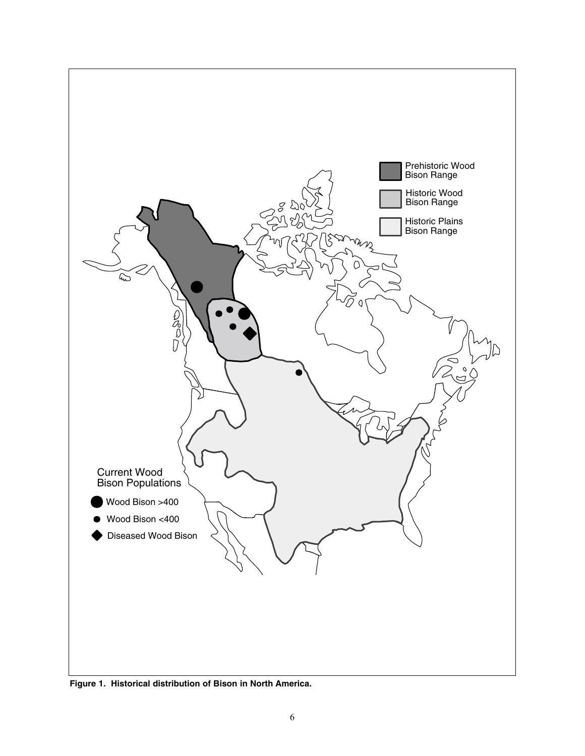

**Figure 1. Historical distribution of Bison in North America.**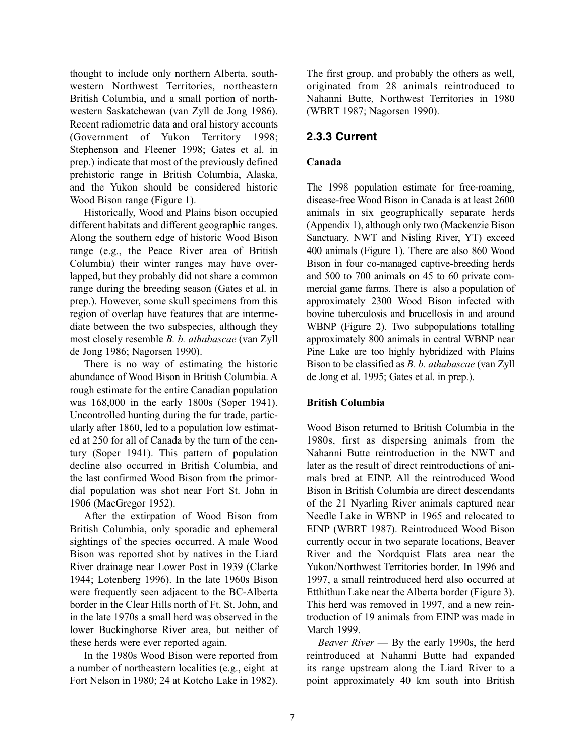thought to include only northern Alberta, southwestern Northwest Territories, northeastern British Columbia, and a small portion of northwestern Saskatchewan (van Zyll de Jong 1986). Recent radiometric data and oral history accounts (Government of Yukon Territory 1998; Stephenson and Fleener 1998; Gates et al. in prep.) indicate that most of the previously defined prehistoric range in British Columbia, Alaska, and the Yukon should be considered historic Wood Bison range (Figure 1).

Historically, Wood and Plains bison occupied different habitats and different geographic ranges. Along the southern edge of historic Wood Bison range (e.g., the Peace River area of British Columbia) their winter ranges may have overlapped, but they probably did not share a common range during the breeding season (Gates et al. in prep.). However, some skull specimens from this region of overlap have features that are intermediate between the two subspecies, although they most closely resemble *B. b. athabascae* (van Zyll de Jong 1986; Nagorsen 1990).

There is no way of estimating the historic abundance of Wood Bison in British Columbia. A rough estimate for the entire Canadian population was 168,000 in the early 1800s (Soper 1941). Uncontrolled hunting during the fur trade, particularly after 1860, led to a population low estimated at 250 for all of Canada by the turn of the century (Soper 1941). This pattern of population decline also occurred in British Columbia, and the last confirmed Wood Bison from the primordial population was shot near Fort St. John in 1906 (MacGregor 1952).

After the extirpation of Wood Bison from British Columbia, only sporadic and ephemeral sightings of the species occurred. A male Wood Bison was reported shot by natives in the Liard River drainage near Lower Post in 1939 (Clarke 1944; Lotenberg 1996). In the late 1960s Bison were frequently seen adjacent to the BC-Alberta border in the Clear Hills north of Ft. St. John, and in the late 1970s a small herd was observed in the lower Buckinghorse River area, but neither of these herds were ever reported again.

In the 1980s Wood Bison were reported from a number of northeastern localities (e.g., eight at Fort Nelson in 1980; 24 at Kotcho Lake in 1982).

The first group, and probably the others as well, originated from 28 animals reintroduced to Nahanni Butte, Northwest Territories in 1980 (WBRT 1987; Nagorsen 1990).

### **2.3.3 Current**

#### **Canada**

The 1998 population estimate for free-roaming, disease-free Wood Bison in Canada is at least 2600 animals in six geographically separate herds (Appendix 1), although only two (Mackenzie Bison Sanctuary, NWT and Nisling River, YT) exceed 400 animals (Figure 1). There are also 860 Wood Bison in four co-managed captive-breeding herds and 500 to 700 animals on 45 to 60 private commercial game farms. There is also a population of approximately 2300 Wood Bison infected with bovine tuberculosis and brucellosis in and around WBNP (Figure 2). Two subpopulations totalling approximately 800 animals in central WBNP near Pine Lake are too highly hybridized with Plains Bison to be classified as *B. b. athabascae* (van Zyll de Jong et al. 1995; Gates et al. in prep.).

#### **British Columbia**

Wood Bison returned to British Columbia in the 1980s, first as dispersing animals from the Nahanni Butte reintroduction in the NWT and later as the result of direct reintroductions of animals bred at EINP. All the reintroduced Wood Bison in British Columbia are direct descendants of the 21 Nyarling River animals captured near Needle Lake in WBNP in 1965 and relocated to EINP (WBRT 1987). Reintroduced Wood Bison currently occur in two separate locations, Beaver River and the Nordquist Flats area near the Yukon/Northwest Territories border. In 1996 and 1997, a small reintroduced herd also occurred at Etthithun Lake near the Alberta border (Figure 3). This herd was removed in 1997, and a new reintroduction of 19 animals from EINP was made in March 1999.

*Beaver River* — By the early 1990s, the herd reintroduced at Nahanni Butte had expanded its range upstream along the Liard River to a point approximately 40 km south into British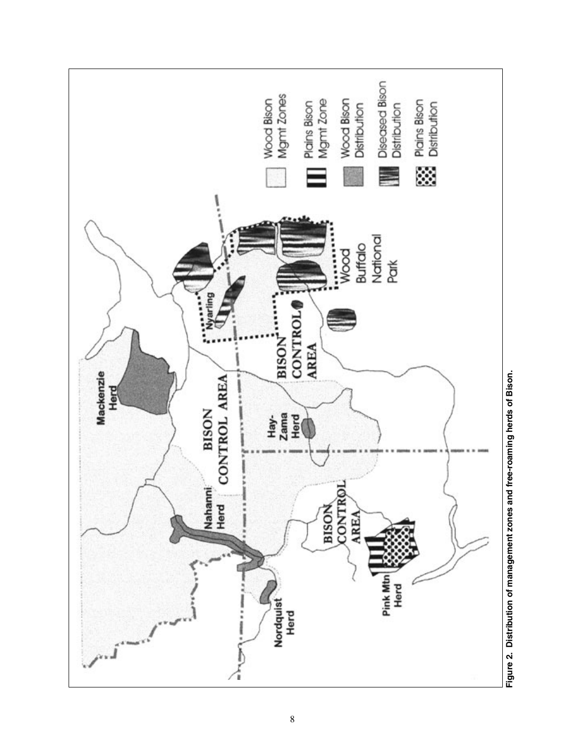

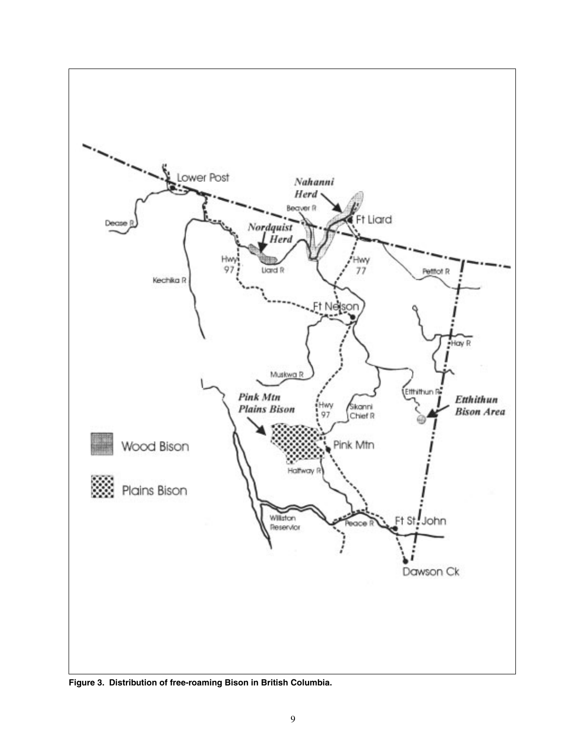

**Figure 3. Distribution of free-roaming Bison in British Columbia.**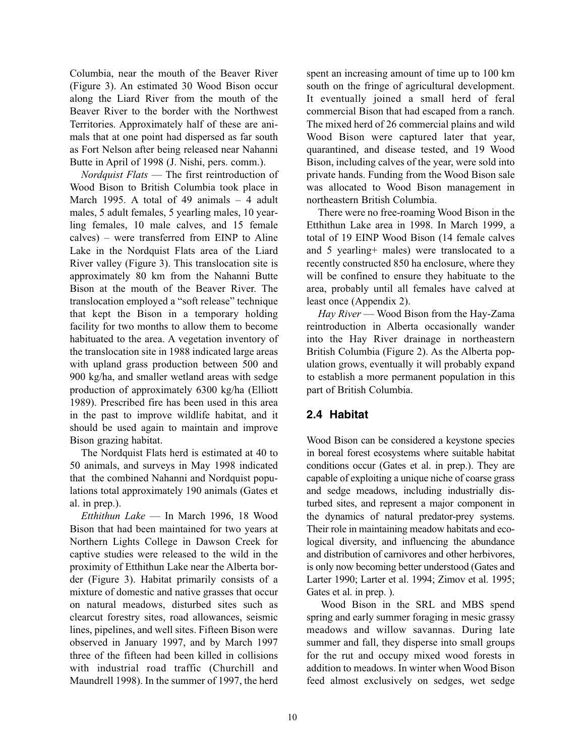Columbia, near the mouth of the Beaver River (Figure 3). An estimated 30 Wood Bison occur along the Liard River from the mouth of the Beaver River to the border with the Northwest Territories. Approximately half of these are animals that at one point had dispersed as far south as Fort Nelson after being released near Nahanni Butte in April of 1998 (J. Nishi, pers. comm.).

*Nordquist Flats* — The first reintroduction of Wood Bison to British Columbia took place in March 1995. A total of 49 animals – 4 adult males, 5 adult females, 5 yearling males, 10 yearling females, 10 male calves, and 15 female calves) – were transferred from EINP to Aline Lake in the Nordquist Flats area of the Liard River valley (Figure 3). This translocation site is approximately 80 km from the Nahanni Butte Bison at the mouth of the Beaver River. The translocation employed a "soft release" technique that kept the Bison in a temporary holding facility for two months to allow them to become habituated to the area. A vegetation inventory of the translocation site in 1988 indicated large areas with upland grass production between 500 and 900 kg/ha, and smaller wetland areas with sedge production of approximately 6300 kg/ha (Elliott 1989). Prescribed fire has been used in this area in the past to improve wildlife habitat, and it should be used again to maintain and improve Bison grazing habitat.

The Nordquist Flats herd is estimated at 40 to 50 animals, and surveys in May 1998 indicated that the combined Nahanni and Nordquist populations total approximately 190 animals (Gates et al. in prep.).

*Etthithun Lake* — In March 1996, 18 Wood Bison that had been maintained for two years at Northern Lights College in Dawson Creek for captive studies were released to the wild in the proximity of Etthithun Lake near the Alberta border (Figure 3). Habitat primarily consists of a mixture of domestic and native grasses that occur on natural meadows, disturbed sites such as clearcut forestry sites, road allowances, seismic lines, pipelines, and well sites. Fifteen Bison were observed in January 1997, and by March 1997 three of the fifteen had been killed in collisions with industrial road traffic (Churchill and Maundrell 1998). In the summer of 1997, the herd

spent an increasing amount of time up to 100 km south on the fringe of agricultural development. It eventually joined a small herd of feral commercial Bison that had escaped from a ranch. The mixed herd of 26 commercial plains and wild Wood Bison were captured later that year, quarantined, and disease tested, and 19 Wood Bison, including calves of the year, were sold into private hands. Funding from the Wood Bison sale was allocated to Wood Bison management in northeastern British Columbia.

There were no free-roaming Wood Bison in the Etthithun Lake area in 1998. In March 1999, a total of 19 EINP Wood Bison (14 female calves and 5 yearling+ males) were translocated to a recently constructed 850 ha enclosure, where they will be confined to ensure they habituate to the area, probably until all females have calved at least once (Appendix 2).

*Hay River* — Wood Bison from the Hay-Zama reintroduction in Alberta occasionally wander into the Hay River drainage in northeastern British Columbia (Figure 2). As the Alberta population grows, eventually it will probably expand to establish a more permanent population in this part of British Columbia.

### **2.4 Habitat**

Wood Bison can be considered a keystone species in boreal forest ecosystems where suitable habitat conditions occur (Gates et al. in prep.). They are capable of exploiting a unique niche of coarse grass and sedge meadows, including industrially disturbed sites, and represent a major component in the dynamics of natural predator-prey systems. Their role in maintaining meadow habitats and ecological diversity, and influencing the abundance and distribution of carnivores and other herbivores, is only now becoming better understood (Gates and Larter 1990; Larter et al. 1994; Zimov et al. 1995; Gates et al. in prep. ).

Wood Bison in the SRL and MBS spend spring and early summer foraging in mesic grassy meadows and willow savannas. During late summer and fall, they disperse into small groups for the rut and occupy mixed wood forests in addition to meadows. In winter when Wood Bison feed almost exclusively on sedges, wet sedge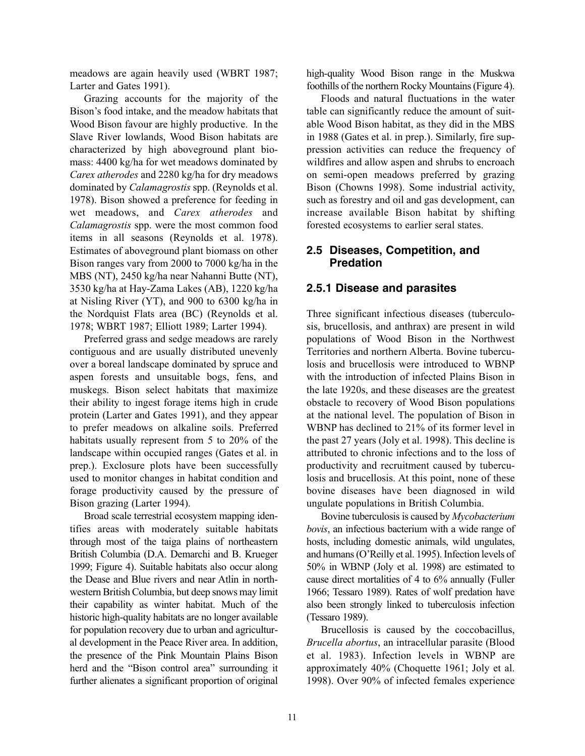meadows are again heavily used (WBRT 1987; Larter and Gates 1991).

Grazing accounts for the majority of the Bison's food intake, and the meadow habitats that Wood Bison favour are highly productive. In the Slave River lowlands, Wood Bison habitats are characterized by high aboveground plant biomass: 4400 kg/ha for wet meadows dominated by *Carex atherodes* and 2280 kg/ha for dry meadows dominated by *Calamagrostis* spp. (Reynolds et al. 1978). Bison showed a preference for feeding in wet meadows, and *Carex atherodes* and *Calamagrostis* spp. were the most common food items in all seasons (Reynolds et al. 1978). Estimates of aboveground plant biomass on other Bison ranges vary from 2000 to 7000 kg/ha in the MBS (NT), 2450 kg/ha near Nahanni Butte (NT), 3530 kg/ha at Hay-Zama Lakes (AB), 1220 kg/ha at Nisling River (YT), and 900 to 6300 kg/ha in the Nordquist Flats area (BC) (Reynolds et al. 1978; WBRT 1987; Elliott 1989; Larter 1994).

Preferred grass and sedge meadows are rarely contiguous and are usually distributed unevenly over a boreal landscape dominated by spruce and aspen forests and unsuitable bogs, fens, and muskegs. Bison select habitats that maximize their ability to ingest forage items high in crude protein (Larter and Gates 1991), and they appear to prefer meadows on alkaline soils. Preferred habitats usually represent from 5 to 20% of the landscape within occupied ranges (Gates et al. in prep.). Exclosure plots have been successfully used to monitor changes in habitat condition and forage productivity caused by the pressure of Bison grazing (Larter 1994).

Broad scale terrestrial ecosystem mapping identifies areas with moderately suitable habitats through most of the taiga plains of northeastern British Columbia (D.A. Demarchi and B. Krueger 1999; Figure 4). Suitable habitats also occur along the Dease and Blue rivers and near Atlin in northwestern British Columbia, but deep snows may limit their capability as winter habitat. Much of the historic high-quality habitats are no longer available for population recovery due to urban and agricultural development in the Peace River area. In addition, the presence of the Pink Mountain Plains Bison herd and the "Bison control area" surrounding it further alienates a significant proportion of original

high-quality Wood Bison range in the Muskwa foothills of the northern Rocky Mountains (Figure 4).

Floods and natural fluctuations in the water table can significantly reduce the amount of suitable Wood Bison habitat, as they did in the MBS in 1988 (Gates et al. in prep.). Similarly, fire suppression activities can reduce the frequency of wildfires and allow aspen and shrubs to encroach on semi-open meadows preferred by grazing Bison (Chowns 1998). Some industrial activity, such as forestry and oil and gas development, can increase available Bison habitat by shifting forested ecosystems to earlier seral states.

### **2.5 Diseases, Competition, and Predation**

### **2.5.1 Disease and parasites**

Three significant infectious diseases (tuberculosis, brucellosis, and anthrax) are present in wild populations of Wood Bison in the Northwest Territories and northern Alberta. Bovine tuberculosis and brucellosis were introduced to WBNP with the introduction of infected Plains Bison in the late 1920s, and these diseases are the greatest obstacle to recovery of Wood Bison populations at the national level. The population of Bison in WBNP has declined to 21% of its former level in the past 27 years (Joly et al. 1998). This decline is attributed to chronic infections and to the loss of productivity and recruitment caused by tuberculosis and brucellosis. At this point, none of these bovine diseases have been diagnosed in wild ungulate populations in British Columbia.

Bovine tuberculosis is caused by *Mycobacterium bovis*, an infectious bacterium with a wide range of hosts, including domestic animals, wild ungulates, and humans (O'Reilly et al. 1995). Infection levels of 50% in WBNP (Joly et al. 1998) are estimated to cause direct mortalities of 4 to 6% annually (Fuller 1966; Tessaro 1989). Rates of wolf predation have also been strongly linked to tuberculosis infection (Tessaro 1989).

Brucellosis is caused by the coccobacillus, *Brucella abortus*, an intracellular parasite (Blood et al. 1983). Infection levels in WBNP are approximately 40% (Choquette 1961; Joly et al. 1998). Over 90% of infected females experience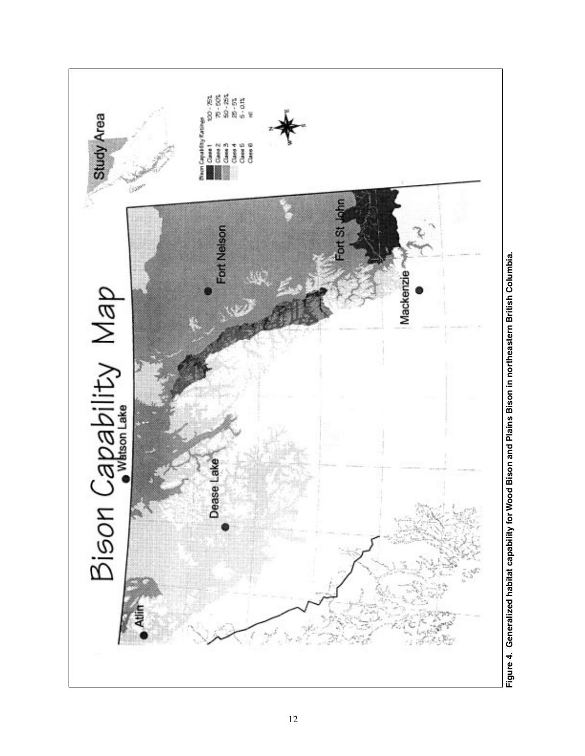

Figure 4. Generalized habitat capability for Wood Bison and Plains Bison in northeastern British Columbia. **Figure 4. Generalized habitat capability for Wood Bison and Plains Bison in northeastern British Columbia.**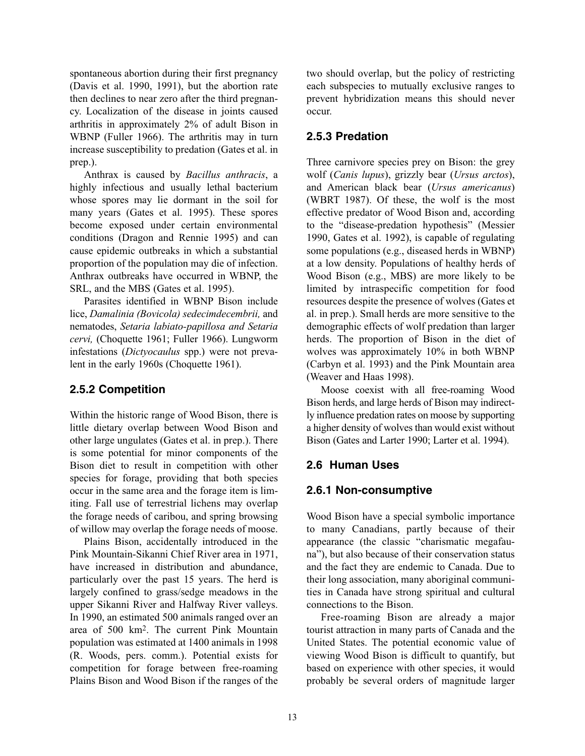spontaneous abortion during their first pregnancy (Davis et al. 1990, 1991), but the abortion rate then declines to near zero after the third pregnancy. Localization of the disease in joints caused arthritis in approximately 2% of adult Bison in WBNP (Fuller 1966). The arthritis may in turn increase susceptibility to predation (Gates et al. in prep.).

Anthrax is caused by *Bacillus anthracis*, a highly infectious and usually lethal bacterium whose spores may lie dormant in the soil for many years (Gates et al. 1995). These spores become exposed under certain environmental conditions (Dragon and Rennie 1995) and can cause epidemic outbreaks in which a substantial proportion of the population may die of infection. Anthrax outbreaks have occurred in WBNP, the SRL, and the MBS (Gates et al. 1995).

Parasites identified in WBNP Bison include lice, *Damalinia (Bovicola) sedecimdecembrii,* and nematodes, *Setaria labiato-papillosa and Setaria cervi,* (Choquette 1961; Fuller 1966). Lungworm infestations (*Dictyocaulus* spp.) were not prevalent in the early 1960s (Choquette 1961).

### **2.5.2 Competition**

Within the historic range of Wood Bison, there is little dietary overlap between Wood Bison and other large ungulates (Gates et al. in prep.). There is some potential for minor components of the Bison diet to result in competition with other species for forage, providing that both species occur in the same area and the forage item is limiting. Fall use of terrestrial lichens may overlap the forage needs of caribou, and spring browsing of willow may overlap the forage needs of moose.

Plains Bison, accidentally introduced in the Pink Mountain-Sikanni Chief River area in 1971, have increased in distribution and abundance, particularly over the past 15 years. The herd is largely confined to grass/sedge meadows in the upper Sikanni River and Halfway River valleys. In 1990, an estimated 500 animals ranged over an area of 500 km2. The current Pink Mountain population was estimated at 1400 animals in 1998 (R. Woods, pers. comm.). Potential exists for competition for forage between free-roaming Plains Bison and Wood Bison if the ranges of the

two should overlap, but the policy of restricting each subspecies to mutually exclusive ranges to prevent hybridization means this should never occur.

## **2.5.3 Predation**

Three carnivore species prey on Bison: the grey wolf (*Canis lupus*), grizzly bear (*Ursus arctos*), and American black bear (*Ursus americanus*) (WBRT 1987). Of these, the wolf is the most effective predator of Wood Bison and, according to the "disease-predation hypothesis" (Messier 1990, Gates et al. 1992), is capable of regulating some populations (e.g., diseased herds in WBNP) at a low density. Populations of healthy herds of Wood Bison (e.g., MBS) are more likely to be limited by intraspecific competition for food resources despite the presence of wolves (Gates et al. in prep.). Small herds are more sensitive to the demographic effects of wolf predation than larger herds. The proportion of Bison in the diet of wolves was approximately 10% in both WBNP (Carbyn et al. 1993) and the Pink Mountain area (Weaver and Haas 1998).

Moose coexist with all free-roaming Wood Bison herds, and large herds of Bison may indirectly influence predation rates on moose by supporting a higher density of wolves than would exist without Bison (Gates and Larter 1990; Larter et al. 1994).

### **2.6 Human Uses**

### **2.6.1 Non-consumptive**

Wood Bison have a special symbolic importance to many Canadians, partly because of their appearance (the classic "charismatic megafauna"), but also because of their conservation status and the fact they are endemic to Canada. Due to their long association, many aboriginal communities in Canada have strong spiritual and cultural connections to the Bison.

Free-roaming Bison are already a major tourist attraction in many parts of Canada and the United States. The potential economic value of viewing Wood Bison is difficult to quantify, but based on experience with other species, it would probably be several orders of magnitude larger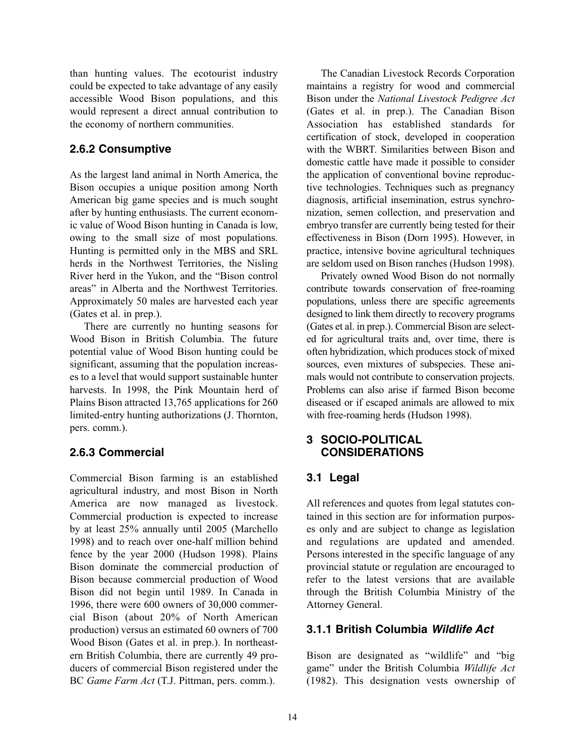than hunting values. The ecotourist industry could be expected to take advantage of any easily accessible Wood Bison populations, and this would represent a direct annual contribution to the economy of northern communities.

### **2.6.2 Consumptive**

As the largest land animal in North America, the Bison occupies a unique position among North American big game species and is much sought after by hunting enthusiasts. The current economic value of Wood Bison hunting in Canada is low, owing to the small size of most populations. Hunting is permitted only in the MBS and SRL herds in the Northwest Territories, the Nisling River herd in the Yukon, and the "Bison control areas" in Alberta and the Northwest Territories. Approximately 50 males are harvested each year (Gates et al. in prep.).

There are currently no hunting seasons for Wood Bison in British Columbia. The future potential value of Wood Bison hunting could be significant, assuming that the population increases to a level that would support sustainable hunter harvests. In 1998, the Pink Mountain herd of Plains Bison attracted 13,765 applications for 260 limited-entry hunting authorizations (J. Thornton, pers. comm.).

### **2.6.3 Commercial**

Commercial Bison farming is an established agricultural industry, and most Bison in North America are now managed as livestock. Commercial production is expected to increase by at least 25% annually until 2005 (Marchello 1998) and to reach over one-half million behind fence by the year 2000 (Hudson 1998). Plains Bison dominate the commercial production of Bison because commercial production of Wood Bison did not begin until 1989. In Canada in 1996, there were 600 owners of 30,000 commercial Bison (about 20% of North American production) versus an estimated 60 owners of 700 Wood Bison (Gates et al. in prep.). In northeastern British Columbia, there are currently 49 producers of commercial Bison registered under the BC *Game Farm Act* (T.J. Pittman, pers. comm.).

The Canadian Livestock Records Corporation maintains a registry for wood and commercial Bison under the *National Livestock Pedigree Act* (Gates et al. in prep.). The Canadian Bison Association has established standards for certification of stock, developed in cooperation with the WBRT. Similarities between Bison and domestic cattle have made it possible to consider the application of conventional bovine reproductive technologies. Techniques such as pregnancy diagnosis, artificial insemination, estrus synchronization, semen collection, and preservation and embryo transfer are currently being tested for their effectiveness in Bison (Dorn 1995). However, in practice, intensive bovine agricultural techniques are seldom used on Bison ranches (Hudson 1998).

Privately owned Wood Bison do not normally contribute towards conservation of free-roaming populations, unless there are specific agreements designed to link them directly to recovery programs (Gates et al. in prep.). Commercial Bison are selected for agricultural traits and, over time, there is often hybridization, which produces stock of mixed sources, even mixtures of subspecies. These animals would not contribute to conservation projects. Problems can also arise if farmed Bison become diseased or if escaped animals are allowed to mix with free-roaming herds (Hudson 1998).

### **3 SOCIO-POLITICAL CONSIDERATIONS**

### **3.1 Legal**

All references and quotes from legal statutes contained in this section are for information purposes only and are subject to change as legislation and regulations are updated and amended. Persons interested in the specific language of any provincial statute or regulation are encouraged to refer to the latest versions that are available through the British Columbia Ministry of the Attorney General.

### **3.1.1 British Columbia Wildlife Act**

Bison are designated as "wildlife" and "big game" under the British Columbia *Wildlife Act* (1982). This designation vests ownership of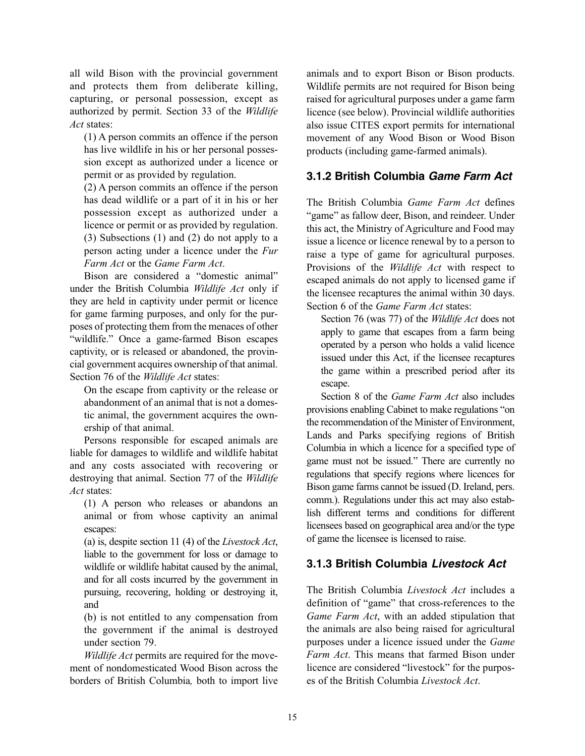all wild Bison with the provincial government and protects them from deliberate killing, capturing, or personal possession, except as authorized by permit. Section 33 of the *Wildlife Act* states:

(1) A person commits an offence if the person has live wildlife in his or her personal possession except as authorized under a licence or permit or as provided by regulation.

(2) A person commits an offence if the person has dead wildlife or a part of it in his or her possession except as authorized under a licence or permit or as provided by regulation. (3) Subsections (1) and (2) do not apply to a person acting under a licence under the *Fur Farm Act* or the *Game Farm Act*.

Bison are considered a "domestic animal" under the British Columbia *Wildlife Act* only if they are held in captivity under permit or licence for game farming purposes, and only for the purposes of protecting them from the menaces of other "wildlife." Once a game-farmed Bison escapes captivity, or is released or abandoned, the provincial government acquires ownership of that animal. Section 76 of the *Wildlife Act* states:

On the escape from captivity or the release or abandonment of an animal that is not a domestic animal, the government acquires the ownership of that animal.

Persons responsible for escaped animals are liable for damages to wildlife and wildlife habitat and any costs associated with recovering or destroying that animal. Section 77 of the *Wildlife Act* states:

(1) A person who releases or abandons an animal or from whose captivity an animal escapes:

(a) is, despite section 11 (4) of the *Livestock Act*, liable to the government for loss or damage to wildlife or wildlife habitat caused by the animal, and for all costs incurred by the government in pursuing, recovering, holding or destroying it, and

(b) is not entitled to any compensation from the government if the animal is destroyed under section 79.

*Wildlife Act* permits are required for the movement of nondomesticated Wood Bison across the borders of British Columbia*,* both to import live animals and to export Bison or Bison products. Wildlife permits are not required for Bison being raised for agricultural purposes under a game farm licence (see below). Provincial wildlife authorities also issue CITES export permits for international movement of any Wood Bison or Wood Bison products (including game-farmed animals).

### **3.1.2 British Columbia Game Farm Act**

The British Columbia *Game Farm Act* defines "game" as fallow deer, Bison, and reindeer. Under this act, the Ministry of Agriculture and Food may issue a licence or licence renewal by to a person to raise a type of game for agricultural purposes. Provisions of the *Wildlife Act* with respect to escaped animals do not apply to licensed game if the licensee recaptures the animal within 30 days. Section 6 of the *Game Farm Act* states:

Section 76 (was 77) of the *Wildlife Act* does not apply to game that escapes from a farm being operated by a person who holds a valid licence issued under this Act, if the licensee recaptures the game within a prescribed period after its escape.

Section 8 of the *Game Farm Act* also includes provisions enabling Cabinet to make regulations "on the recommendation of the Minister of Environment, Lands and Parks specifying regions of British Columbia in which a licence for a specified type of game must not be issued." There are currently no regulations that specify regions where licences for Bison game farms cannot be issued (D. Ireland, pers. comm.). Regulations under this act may also establish different terms and conditions for different licensees based on geographical area and/or the type of game the licensee is licensed to raise.

### **3.1.3 British Columbia Livestock Act**

The British Columbia *Livestock Act* includes a definition of "game" that cross-references to the *Game Farm Act*, with an added stipulation that the animals are also being raised for agricultural purposes under a licence issued under the *Game Farm Act*. This means that farmed Bison under licence are considered "livestock" for the purposes of the British Columbia *Livestock Act*.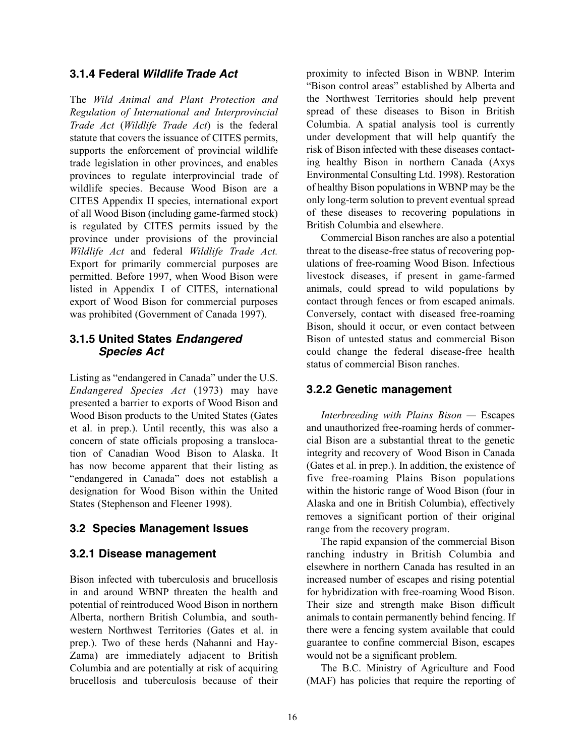#### **3.1.4 Federal Wildlife Trade Act**

The *Wild Animal and Plant Protection and Regulation of International and Interprovincial Trade Act* (*Wildlife Trade Act*) is the federal statute that covers the issuance of CITES permits, supports the enforcement of provincial wildlife trade legislation in other provinces, and enables provinces to regulate interprovincial trade of wildlife species. Because Wood Bison are a CITES Appendix II species, international export of all Wood Bison (including game-farmed stock) is regulated by CITES permits issued by the province under provisions of the provincial *Wildlife Act* and federal *Wildlife Trade Act.* Export for primarily commercial purposes are permitted. Before 1997, when Wood Bison were listed in Appendix I of CITES, international export of Wood Bison for commercial purposes was prohibited (Government of Canada 1997).

### **3.1.5 United States Endangered Species Act**

Listing as "endangered in Canada" under the U.S. *Endangered Species Act* (1973) may have presented a barrier to exports of Wood Bison and Wood Bison products to the United States (Gates et al. in prep.). Until recently, this was also a concern of state officials proposing a translocation of Canadian Wood Bison to Alaska. It has now become apparent that their listing as "endangered in Canada" does not establish a designation for Wood Bison within the United States (Stephenson and Fleener 1998).

### **3.2 Species Management Issues**

### **3.2.1 Disease management**

Bison infected with tuberculosis and brucellosis in and around WBNP threaten the health and potential of reintroduced Wood Bison in northern Alberta, northern British Columbia, and southwestern Northwest Territories (Gates et al. in prep.). Two of these herds (Nahanni and Hay-Zama) are immediately adjacent to British Columbia and are potentially at risk of acquiring brucellosis and tuberculosis because of their

proximity to infected Bison in WBNP. Interim "Bison control areas" established by Alberta and the Northwest Territories should help prevent spread of these diseases to Bison in British Columbia. A spatial analysis tool is currently under development that will help quantify the risk of Bison infected with these diseases contacting healthy Bison in northern Canada (Axys Environmental Consulting Ltd. 1998). Restoration of healthy Bison populations in WBNP may be the only long-term solution to prevent eventual spread of these diseases to recovering populations in British Columbia and elsewhere.

Commercial Bison ranches are also a potential threat to the disease-free status of recovering populations of free-roaming Wood Bison. Infectious livestock diseases, if present in game-farmed animals, could spread to wild populations by contact through fences or from escaped animals. Conversely, contact with diseased free-roaming Bison, should it occur, or even contact between Bison of untested status and commercial Bison could change the federal disease-free health status of commercial Bison ranches.

### **3.2.2 Genetic management**

*Interbreeding with Plains Bison —* Escapes and unauthorized free-roaming herds of commercial Bison are a substantial threat to the genetic integrity and recovery of Wood Bison in Canada (Gates et al. in prep.). In addition, the existence of five free-roaming Plains Bison populations within the historic range of Wood Bison (four in Alaska and one in British Columbia), effectively removes a significant portion of their original range from the recovery program.

The rapid expansion of the commercial Bison ranching industry in British Columbia and elsewhere in northern Canada has resulted in an increased number of escapes and rising potential for hybridization with free-roaming Wood Bison. Their size and strength make Bison difficult animals to contain permanently behind fencing. If there were a fencing system available that could guarantee to confine commercial Bison, escapes would not be a significant problem.

The B.C. Ministry of Agriculture and Food (MAF) has policies that require the reporting of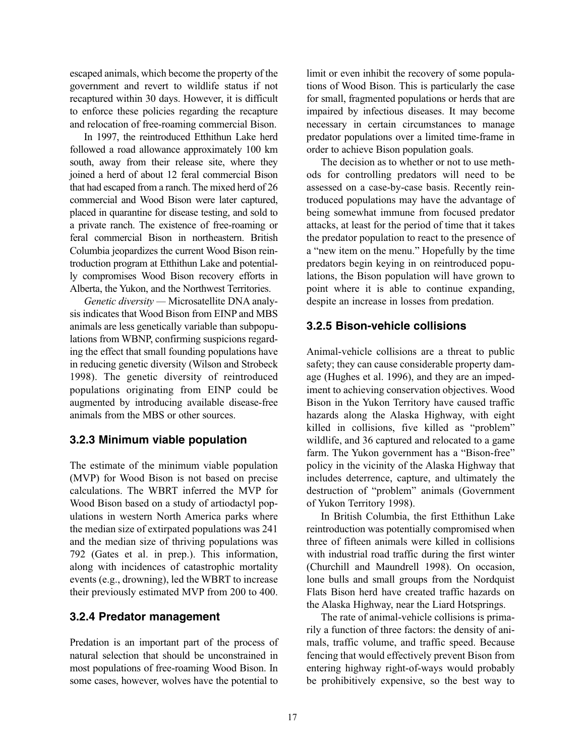escaped animals, which become the property of the government and revert to wildlife status if not recaptured within 30 days. However, it is difficult to enforce these policies regarding the recapture and relocation of free-roaming commercial Bison.

In 1997, the reintroduced Etthithun Lake herd followed a road allowance approximately 100 km south, away from their release site, where they joined a herd of about 12 feral commercial Bison that had escaped from a ranch. The mixed herd of 26 commercial and Wood Bison were later captured, placed in quarantine for disease testing, and sold to a private ranch. The existence of free-roaming or feral commercial Bison in northeastern. British Columbia jeopardizes the current Wood Bison reintroduction program at Etthithun Lake and potentially compromises Wood Bison recovery efforts in Alberta, the Yukon, and the Northwest Territories.

*Genetic diversity —* Microsatellite DNA analysis indicates that Wood Bison from EINP and MBS animals are less genetically variable than subpopulations from WBNP, confirming suspicions regarding the effect that small founding populations have in reducing genetic diversity (Wilson and Strobeck 1998). The genetic diversity of reintroduced populations originating from EINP could be augmented by introducing available disease-free animals from the MBS or other sources.

### **3.2.3 Minimum viable population**

The estimate of the minimum viable population (MVP) for Wood Bison is not based on precise calculations. The WBRT inferred the MVP for Wood Bison based on a study of artiodactyl populations in western North America parks where the median size of extirpated populations was 241 and the median size of thriving populations was 792 (Gates et al. in prep.). This information, along with incidences of catastrophic mortality events (e.g., drowning), led the WBRT to increase their previously estimated MVP from 200 to 400.

### **3.2.4 Predator management**

Predation is an important part of the process of natural selection that should be unconstrained in most populations of free-roaming Wood Bison. In some cases, however, wolves have the potential to

limit or even inhibit the recovery of some populations of Wood Bison. This is particularly the case for small, fragmented populations or herds that are impaired by infectious diseases. It may become necessary in certain circumstances to manage predator populations over a limited time-frame in order to achieve Bison population goals.

The decision as to whether or not to use methods for controlling predators will need to be assessed on a case-by-case basis. Recently reintroduced populations may have the advantage of being somewhat immune from focused predator attacks, at least for the period of time that it takes the predator population to react to the presence of a "new item on the menu." Hopefully by the time predators begin keying in on reintroduced populations, the Bison population will have grown to point where it is able to continue expanding, despite an increase in losses from predation.

### **3.2.5 Bison-vehicle collisions**

Animal-vehicle collisions are a threat to public safety; they can cause considerable property damage (Hughes et al. 1996), and they are an impediment to achieving conservation objectives. Wood Bison in the Yukon Territory have caused traffic hazards along the Alaska Highway, with eight killed in collisions, five killed as "problem" wildlife, and 36 captured and relocated to a game farm. The Yukon government has a "Bison-free" policy in the vicinity of the Alaska Highway that includes deterrence, capture, and ultimately the destruction of "problem" animals (Government of Yukon Territory 1998).

In British Columbia, the first Etthithun Lake reintroduction was potentially compromised when three of fifteen animals were killed in collisions with industrial road traffic during the first winter (Churchill and Maundrell 1998). On occasion, lone bulls and small groups from the Nordquist Flats Bison herd have created traffic hazards on the Alaska Highway, near the Liard Hotsprings.

The rate of animal-vehicle collisions is primarily a function of three factors: the density of animals, traffic volume, and traffic speed. Because fencing that would effectively prevent Bison from entering highway right-of-ways would probably be prohibitively expensive, so the best way to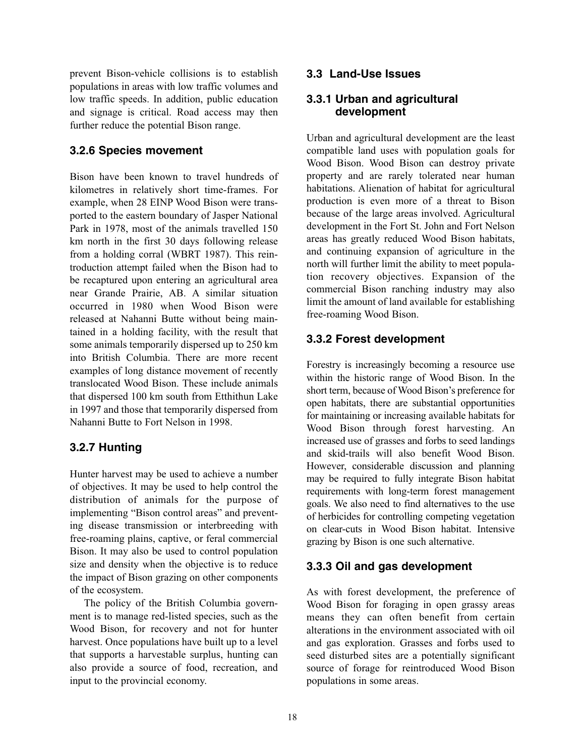prevent Bison-vehicle collisions is to establish populations in areas with low traffic volumes and low traffic speeds. In addition, public education and signage is critical. Road access may then further reduce the potential Bison range.

### **3.2.6 Species movement**

Bison have been known to travel hundreds of kilometres in relatively short time-frames. For example, when 28 EINP Wood Bison were transported to the eastern boundary of Jasper National Park in 1978, most of the animals travelled 150 km north in the first 30 days following release from a holding corral (WBRT 1987). This reintroduction attempt failed when the Bison had to be recaptured upon entering an agricultural area near Grande Prairie, AB. A similar situation occurred in 1980 when Wood Bison were released at Nahanni Butte without being maintained in a holding facility, with the result that some animals temporarily dispersed up to 250 km into British Columbia. There are more recent examples of long distance movement of recently translocated Wood Bison. These include animals that dispersed 100 km south from Etthithun Lake in 1997 and those that temporarily dispersed from Nahanni Butte to Fort Nelson in 1998.

### **3.2.7 Hunting**

Hunter harvest may be used to achieve a number of objectives. It may be used to help control the distribution of animals for the purpose of implementing "Bison control areas" and preventing disease transmission or interbreeding with free-roaming plains, captive, or feral commercial Bison. It may also be used to control population size and density when the objective is to reduce the impact of Bison grazing on other components of the ecosystem.

The policy of the British Columbia government is to manage red-listed species, such as the Wood Bison, for recovery and not for hunter harvest. Once populations have built up to a level that supports a harvestable surplus, hunting can also provide a source of food, recreation, and input to the provincial economy.

### **3.3 Land-Use Issues**

### **3.3.1 Urban and agricultural development**

Urban and agricultural development are the least compatible land uses with population goals for Wood Bison. Wood Bison can destroy private property and are rarely tolerated near human habitations. Alienation of habitat for agricultural production is even more of a threat to Bison because of the large areas involved. Agricultural development in the Fort St. John and Fort Nelson areas has greatly reduced Wood Bison habitats, and continuing expansion of agriculture in the north will further limit the ability to meet population recovery objectives. Expansion of the commercial Bison ranching industry may also limit the amount of land available for establishing free-roaming Wood Bison.

## **3.3.2 Forest development**

Forestry is increasingly becoming a resource use within the historic range of Wood Bison. In the short term, because of Wood Bison's preference for open habitats, there are substantial opportunities for maintaining or increasing available habitats for Wood Bison through forest harvesting. An increased use of grasses and forbs to seed landings and skid-trails will also benefit Wood Bison. However, considerable discussion and planning may be required to fully integrate Bison habitat requirements with long-term forest management goals. We also need to find alternatives to the use of herbicides for controlling competing vegetation on clear-cuts in Wood Bison habitat. Intensive grazing by Bison is one such alternative.

### **3.3.3 Oil and gas development**

As with forest development, the preference of Wood Bison for foraging in open grassy areas means they can often benefit from certain alterations in the environment associated with oil and gas exploration. Grasses and forbs used to seed disturbed sites are a potentially significant source of forage for reintroduced Wood Bison populations in some areas.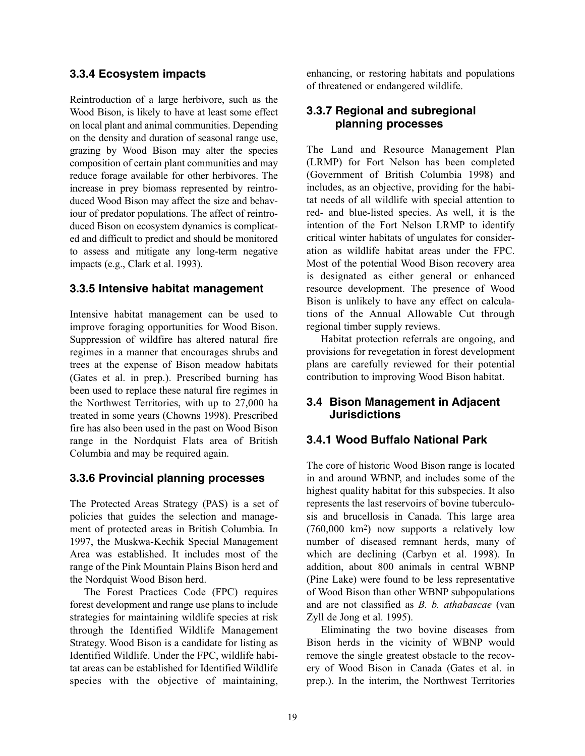#### **3.3.4 Ecosystem impacts**

Reintroduction of a large herbivore, such as the Wood Bison, is likely to have at least some effect on local plant and animal communities. Depending on the density and duration of seasonal range use, grazing by Wood Bison may alter the species composition of certain plant communities and may reduce forage available for other herbivores. The increase in prey biomass represented by reintroduced Wood Bison may affect the size and behaviour of predator populations. The affect of reintroduced Bison on ecosystem dynamics is complicated and difficult to predict and should be monitored to assess and mitigate any long-term negative impacts (e.g., Clark et al. 1993).

### **3.3.5 Intensive habitat management**

Intensive habitat management can be used to improve foraging opportunities for Wood Bison. Suppression of wildfire has altered natural fire regimes in a manner that encourages shrubs and trees at the expense of Bison meadow habitats (Gates et al. in prep.). Prescribed burning has been used to replace these natural fire regimes in the Northwest Territories, with up to 27,000 ha treated in some years (Chowns 1998). Prescribed fire has also been used in the past on Wood Bison range in the Nordquist Flats area of British Columbia and may be required again.

### **3.3.6 Provincial planning processes**

The Protected Areas Strategy (PAS) is a set of policies that guides the selection and management of protected areas in British Columbia. In 1997, the Muskwa-Kechik Special Management Area was established. It includes most of the range of the Pink Mountain Plains Bison herd and the Nordquist Wood Bison herd.

The Forest Practices Code (FPC) requires forest development and range use plans to include strategies for maintaining wildlife species at risk through the Identified Wildlife Management Strategy. Wood Bison is a candidate for listing as Identified Wildlife. Under the FPC, wildlife habitat areas can be established for Identified Wildlife species with the objective of maintaining,

enhancing, or restoring habitats and populations of threatened or endangered wildlife.

### **3.3.7 Regional and subregional planning processes**

The Land and Resource Management Plan (LRMP) for Fort Nelson has been completed (Government of British Columbia 1998) and includes, as an objective, providing for the habitat needs of all wildlife with special attention to red- and blue-listed species. As well, it is the intention of the Fort Nelson LRMP to identify critical winter habitats of ungulates for consideration as wildlife habitat areas under the FPC. Most of the potential Wood Bison recovery area is designated as either general or enhanced resource development. The presence of Wood Bison is unlikely to have any effect on calculations of the Annual Allowable Cut through regional timber supply reviews.

Habitat protection referrals are ongoing, and provisions for revegetation in forest development plans are carefully reviewed for their potential contribution to improving Wood Bison habitat.

### **3.4 Bison Management in Adjacent Jurisdictions**

### **3.4.1 Wood Buffalo National Park**

The core of historic Wood Bison range is located in and around WBNP, and includes some of the highest quality habitat for this subspecies. It also represents the last reservoirs of bovine tuberculosis and brucellosis in Canada. This large area (760,000 km2) now supports a relatively low number of diseased remnant herds, many of which are declining (Carbyn et al. 1998). In addition, about 800 animals in central WBNP (Pine Lake) were found to be less representative of Wood Bison than other WBNP subpopulations and are not classified as *B. b. athabascae* (van Zyll de Jong et al. 1995).

Eliminating the two bovine diseases from Bison herds in the vicinity of WBNP would remove the single greatest obstacle to the recovery of Wood Bison in Canada (Gates et al. in prep.). In the interim, the Northwest Territories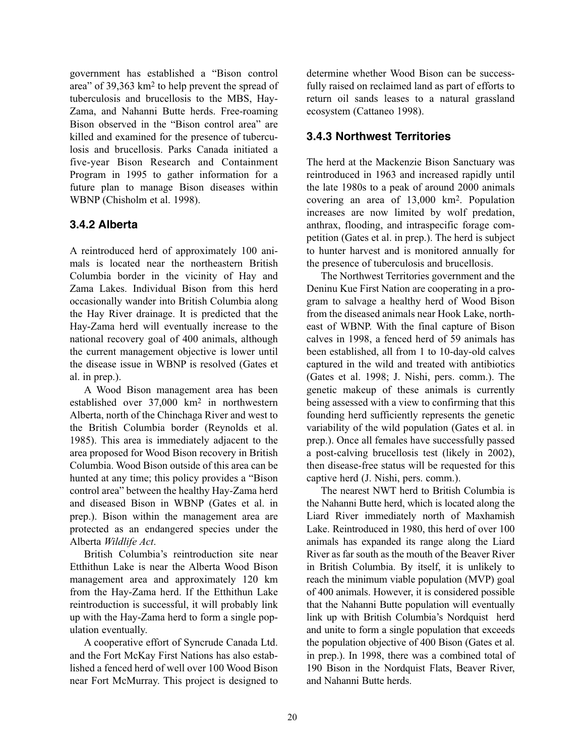government has established a "Bison control area" of 39,363 km2 to help prevent the spread of tuberculosis and brucellosis to the MBS, Hay-Zama, and Nahanni Butte herds. Free-roaming Bison observed in the "Bison control area" are killed and examined for the presence of tuberculosis and brucellosis. Parks Canada initiated a five-year Bison Research and Containment Program in 1995 to gather information for a future plan to manage Bison diseases within WBNP (Chisholm et al. 1998).

### **3.4.2 Alberta**

A reintroduced herd of approximately 100 animals is located near the northeastern British Columbia border in the vicinity of Hay and Zama Lakes. Individual Bison from this herd occasionally wander into British Columbia along the Hay River drainage. It is predicted that the Hay-Zama herd will eventually increase to the national recovery goal of 400 animals, although the current management objective is lower until the disease issue in WBNP is resolved (Gates et al. in prep.).

A Wood Bison management area has been established over 37,000 km2 in northwestern Alberta, north of the Chinchaga River and west to the British Columbia border (Reynolds et al. 1985). This area is immediately adjacent to the area proposed for Wood Bison recovery in British Columbia. Wood Bison outside of this area can be hunted at any time; this policy provides a "Bison control area" between the healthy Hay-Zama herd and diseased Bison in WBNP (Gates et al. in prep.). Bison within the management area are protected as an endangered species under the Alberta *Wildlife Act*.

British Columbia's reintroduction site near Etthithun Lake is near the Alberta Wood Bison management area and approximately 120 km from the Hay-Zama herd. If the Etthithun Lake reintroduction is successful, it will probably link up with the Hay-Zama herd to form a single population eventually.

A cooperative effort of Syncrude Canada Ltd. and the Fort McKay First Nations has also established a fenced herd of well over 100 Wood Bison near Fort McMurray. This project is designed to

determine whether Wood Bison can be successfully raised on reclaimed land as part of efforts to return oil sands leases to a natural grassland ecosystem (Cattaneo 1998).

### **3.4.3 Northwest Territories**

The herd at the Mackenzie Bison Sanctuary was reintroduced in 1963 and increased rapidly until the late 1980s to a peak of around 2000 animals covering an area of 13,000 km2. Population increases are now limited by wolf predation, anthrax, flooding, and intraspecific forage competition (Gates et al. in prep.). The herd is subject to hunter harvest and is monitored annually for the presence of tuberculosis and brucellosis.

The Northwest Territories government and the Deninu Kue First Nation are cooperating in a program to salvage a healthy herd of Wood Bison from the diseased animals near Hook Lake, northeast of WBNP. With the final capture of Bison calves in 1998, a fenced herd of 59 animals has been established, all from 1 to 10-day-old calves captured in the wild and treated with antibiotics (Gates et al. 1998; J. Nishi, pers. comm.). The genetic makeup of these animals is currently being assessed with a view to confirming that this founding herd sufficiently represents the genetic variability of the wild population (Gates et al. in prep.). Once all females have successfully passed a post-calving brucellosis test (likely in 2002), then disease-free status will be requested for this captive herd (J. Nishi, pers. comm.).

The nearest NWT herd to British Columbia is the Nahanni Butte herd, which is located along the Liard River immediately north of Maxhamish Lake. Reintroduced in 1980, this herd of over 100 animals has expanded its range along the Liard River as far south as the mouth of the Beaver River in British Columbia. By itself, it is unlikely to reach the minimum viable population (MVP) goal of 400 animals. However, it is considered possible that the Nahanni Butte population will eventually link up with British Columbia's Nordquist herd and unite to form a single population that exceeds the population objective of 400 Bison (Gates et al. in prep.). In 1998, there was a combined total of 190 Bison in the Nordquist Flats, Beaver River, and Nahanni Butte herds.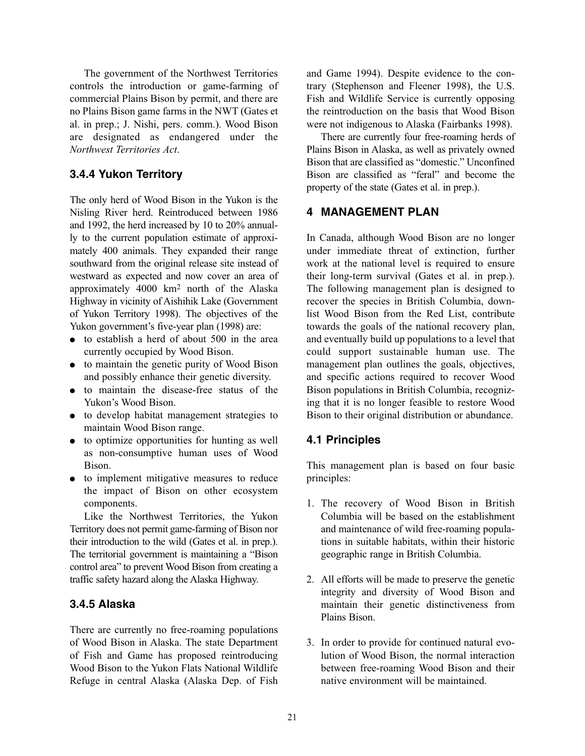The government of the Northwest Territories controls the introduction or game-farming of commercial Plains Bison by permit, and there are no Plains Bison game farms in the NWT (Gates et al. in prep.; J. Nishi, pers. comm.). Wood Bison are designated as endangered under the *Northwest Territories Act*.

### **3.4.4 Yukon Territory**

The only herd of Wood Bison in the Yukon is the Nisling River herd. Reintroduced between 1986 and 1992, the herd increased by 10 to 20% annually to the current population estimate of approximately 400 animals. They expanded their range southward from the original release site instead of westward as expected and now cover an area of approximately 4000 km2 north of the Alaska Highway in vicinity of Aishihik Lake (Government of Yukon Territory 1998). The objectives of the Yukon government's five-year plan (1998) are:

- to establish a herd of about 500 in the area currently occupied by Wood Bison.
- to maintain the genetic purity of Wood Bison and possibly enhance their genetic diversity.
- to maintain the disease-free status of the Yukon's Wood Bison.
- to develop habitat management strategies to maintain Wood Bison range.
- to optimize opportunities for hunting as well as non-consumptive human uses of Wood Bison.
- to implement mitigative measures to reduce the impact of Bison on other ecosystem components.

Like the Northwest Territories, the Yukon Territory does not permit game-farming of Bison nor their introduction to the wild (Gates et al. in prep.). The territorial government is maintaining a "Bison control area" to prevent Wood Bison from creating a traffic safety hazard along the Alaska Highway.

### **3.4.5 Alaska**

There are currently no free-roaming populations of Wood Bison in Alaska. The state Department of Fish and Game has proposed reintroducing Wood Bison to the Yukon Flats National Wildlife Refuge in central Alaska (Alaska Dep. of Fish

and Game 1994). Despite evidence to the contrary (Stephenson and Fleener 1998), the U.S. Fish and Wildlife Service is currently opposing the reintroduction on the basis that Wood Bison were not indigenous to Alaska (Fairbanks 1998).

There are currently four free-roaming herds of Plains Bison in Alaska, as well as privately owned Bison that are classified as "domestic." Unconfined Bison are classified as "feral" and become the property of the state (Gates et al. in prep.).

### **4 MANAGEMENT PLAN**

In Canada, although Wood Bison are no longer under immediate threat of extinction, further work at the national level is required to ensure their long-term survival (Gates et al. in prep.). The following management plan is designed to recover the species in British Columbia, downlist Wood Bison from the Red List, contribute towards the goals of the national recovery plan, and eventually build up populations to a level that could support sustainable human use. The management plan outlines the goals, objectives, and specific actions required to recover Wood Bison populations in British Columbia, recognizing that it is no longer feasible to restore Wood Bison to their original distribution or abundance.

#### **4.1 Principles**

This management plan is based on four basic principles:

- 1. The recovery of Wood Bison in British Columbia will be based on the establishment and maintenance of wild free-roaming populations in suitable habitats, within their historic geographic range in British Columbia.
- 2. All efforts will be made to preserve the genetic integrity and diversity of Wood Bison and maintain their genetic distinctiveness from Plains Bison.
- 3. In order to provide for continued natural evolution of Wood Bison, the normal interaction between free-roaming Wood Bison and their native environment will be maintained.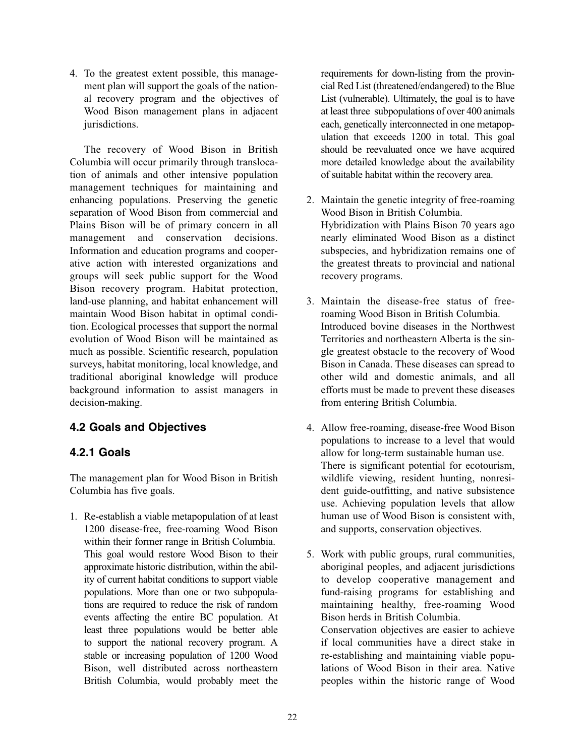4. To the greatest extent possible, this management plan will support the goals of the national recovery program and the objectives of Wood Bison management plans in adjacent jurisdictions.

The recovery of Wood Bison in British Columbia will occur primarily through translocation of animals and other intensive population management techniques for maintaining and enhancing populations. Preserving the genetic separation of Wood Bison from commercial and Plains Bison will be of primary concern in all management and conservation decisions. Information and education programs and cooperative action with interested organizations and groups will seek public support for the Wood Bison recovery program. Habitat protection, land-use planning, and habitat enhancement will maintain Wood Bison habitat in optimal condition. Ecological processes that support the normal evolution of Wood Bison will be maintained as much as possible. Scientific research, population surveys, habitat monitoring, local knowledge, and traditional aboriginal knowledge will produce background information to assist managers in decision-making.

# **4.2 Goals and Objectives**

### **4.2.1 Goals**

The management plan for Wood Bison in British Columbia has five goals.

1. Re-establish a viable metapopulation of at least 1200 disease-free, free-roaming Wood Bison within their former range in British Columbia. This goal would restore Wood Bison to their approximate historic distribution, within the ability of current habitat conditions to support viable populations. More than one or two subpopulations are required to reduce the risk of random events affecting the entire BC population. At least three populations would be better able to support the national recovery program. A stable or increasing population of 1200 Wood Bison, well distributed across northeastern British Columbia, would probably meet the

requirements for down-listing from the provincial Red List (threatened/endangered) to the Blue List (vulnerable). Ultimately, the goal is to have at least three subpopulations of over 400 animals each, genetically interconnected in one metapopulation that exceeds 1200 in total. This goal should be reevaluated once we have acquired more detailed knowledge about the availability of suitable habitat within the recovery area.

- 2. Maintain the genetic integrity of free-roaming Wood Bison in British Columbia. Hybridization with Plains Bison 70 years ago nearly eliminated Wood Bison as a distinct subspecies, and hybridization remains one of the greatest threats to provincial and national recovery programs.
- 3. Maintain the disease-free status of freeroaming Wood Bison in British Columbia. Introduced bovine diseases in the Northwest Territories and northeastern Alberta is the single greatest obstacle to the recovery of Wood Bison in Canada. These diseases can spread to other wild and domestic animals, and all efforts must be made to prevent these diseases from entering British Columbia.
- 4. Allow free-roaming, disease-free Wood Bison populations to increase to a level that would allow for long-term sustainable human use. There is significant potential for ecotourism, wildlife viewing, resident hunting, nonresident guide-outfitting, and native subsistence use. Achieving population levels that allow human use of Wood Bison is consistent with, and supports, conservation objectives.
- 5. Work with public groups, rural communities, aboriginal peoples, and adjacent jurisdictions to develop cooperative management and fund-raising programs for establishing and maintaining healthy, free-roaming Wood Bison herds in British Columbia. Conservation objectives are easier to achieve

if local communities have a direct stake in re-establishing and maintaining viable populations of Wood Bison in their area. Native peoples within the historic range of Wood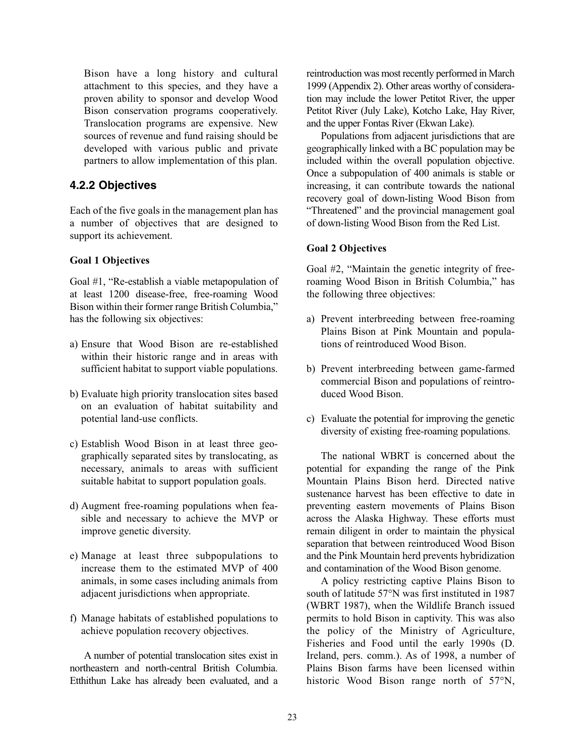Bison have a long history and cultural attachment to this species, and they have a proven ability to sponsor and develop Wood Bison conservation programs cooperatively. Translocation programs are expensive. New sources of revenue and fund raising should be developed with various public and private partners to allow implementation of this plan.

### **4.2.2 Objectives**

Each of the five goals in the management plan has a number of objectives that are designed to support its achievement.

#### **Goal 1 Objectives**

Goal #1, "Re-establish a viable metapopulation of at least 1200 disease-free, free-roaming Wood Bison within their former range British Columbia," has the following six objectives:

- a) Ensure that Wood Bison are re-established within their historic range and in areas with sufficient habitat to support viable populations.
- b) Evaluate high priority translocation sites based on an evaluation of habitat suitability and potential land-use conflicts.
- c) Establish Wood Bison in at least three geographically separated sites by translocating, as necessary, animals to areas with sufficient suitable habitat to support population goals.
- d) Augment free-roaming populations when feasible and necessary to achieve the MVP or improve genetic diversity.
- e) Manage at least three subpopulations to increase them to the estimated MVP of 400 animals, in some cases including animals from adjacent jurisdictions when appropriate.
- f) Manage habitats of established populations to achieve population recovery objectives.

A number of potential translocation sites exist in northeastern and north-central British Columbia. Etthithun Lake has already been evaluated, and a reintroduction was most recently performed in March 1999 (Appendix 2). Other areas worthy of consideration may include the lower Petitot River, the upper Petitot River (July Lake), Kotcho Lake, Hay River, and the upper Fontas River (Ekwan Lake).

Populations from adjacent jurisdictions that are geographically linked with a BC population may be included within the overall population objective. Once a subpopulation of 400 animals is stable or increasing, it can contribute towards the national recovery goal of down-listing Wood Bison from "Threatened" and the provincial management goal of down-listing Wood Bison from the Red List.

#### **Goal 2 Objectives**

Goal #2, "Maintain the genetic integrity of freeroaming Wood Bison in British Columbia," has the following three objectives:

- a) Prevent interbreeding between free-roaming Plains Bison at Pink Mountain and populations of reintroduced Wood Bison.
- b) Prevent interbreeding between game-farmed commercial Bison and populations of reintroduced Wood Bison.
- c) Evaluate the potential for improving the genetic diversity of existing free-roaming populations.

The national WBRT is concerned about the potential for expanding the range of the Pink Mountain Plains Bison herd. Directed native sustenance harvest has been effective to date in preventing eastern movements of Plains Bison across the Alaska Highway. These efforts must remain diligent in order to maintain the physical separation that between reintroduced Wood Bison and the Pink Mountain herd prevents hybridization and contamination of the Wood Bison genome.

A policy restricting captive Plains Bison to south of latitude 57°N was first instituted in 1987 (WBRT 1987), when the Wildlife Branch issued permits to hold Bison in captivity. This was also the policy of the Ministry of Agriculture, Fisheries and Food until the early 1990s (D. Ireland, pers. comm.). As of 1998, a number of Plains Bison farms have been licensed within historic Wood Bison range north of 57°N,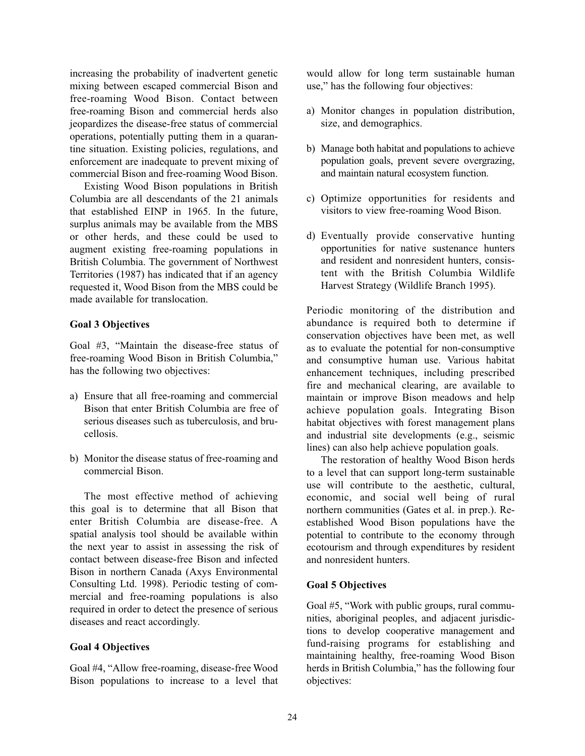increasing the probability of inadvertent genetic mixing between escaped commercial Bison and free-roaming Wood Bison. Contact between free-roaming Bison and commercial herds also jeopardizes the disease-free status of commercial operations, potentially putting them in a quarantine situation. Existing policies, regulations, and enforcement are inadequate to prevent mixing of commercial Bison and free-roaming Wood Bison.

Existing Wood Bison populations in British Columbia are all descendants of the 21 animals that established EINP in 1965. In the future, surplus animals may be available from the MBS or other herds, and these could be used to augment existing free-roaming populations in British Columbia. The government of Northwest Territories (1987) has indicated that if an agency requested it, Wood Bison from the MBS could be made available for translocation.

#### **Goal 3 Objectives**

Goal #3, "Maintain the disease-free status of free-roaming Wood Bison in British Columbia," has the following two objectives:

- a) Ensure that all free-roaming and commercial Bison that enter British Columbia are free of serious diseases such as tuberculosis, and brucellosis.
- b) Monitor the disease status of free-roaming and commercial Bison.

The most effective method of achieving this goal is to determine that all Bison that enter British Columbia are disease-free. A spatial analysis tool should be available within the next year to assist in assessing the risk of contact between disease-free Bison and infected Bison in northern Canada (Axys Environmental Consulting Ltd. 1998). Periodic testing of commercial and free-roaming populations is also required in order to detect the presence of serious diseases and react accordingly.

#### **Goal 4 Objectives**

Goal #4, "Allow free-roaming, disease-free Wood Bison populations to increase to a level that

would allow for long term sustainable human use," has the following four objectives:

- a) Monitor changes in population distribution, size, and demographics.
- b) Manage both habitat and populations to achieve population goals, prevent severe overgrazing, and maintain natural ecosystem function.
- c) Optimize opportunities for residents and visitors to view free-roaming Wood Bison.
- d) Eventually provide conservative hunting opportunities for native sustenance hunters and resident and nonresident hunters, consistent with the British Columbia Wildlife Harvest Strategy (Wildlife Branch 1995).

Periodic monitoring of the distribution and abundance is required both to determine if conservation objectives have been met, as well as to evaluate the potential for non-consumptive and consumptive human use. Various habitat enhancement techniques, including prescribed fire and mechanical clearing, are available to maintain or improve Bison meadows and help achieve population goals. Integrating Bison habitat objectives with forest management plans and industrial site developments (e.g., seismic lines) can also help achieve population goals.

The restoration of healthy Wood Bison herds to a level that can support long-term sustainable use will contribute to the aesthetic, cultural, economic, and social well being of rural northern communities (Gates et al. in prep.). Reestablished Wood Bison populations have the potential to contribute to the economy through ecotourism and through expenditures by resident and nonresident hunters.

#### **Goal 5 Objectives**

Goal #5, "Work with public groups, rural communities, aboriginal peoples, and adjacent jurisdictions to develop cooperative management and fund-raising programs for establishing and maintaining healthy, free-roaming Wood Bison herds in British Columbia," has the following four objectives: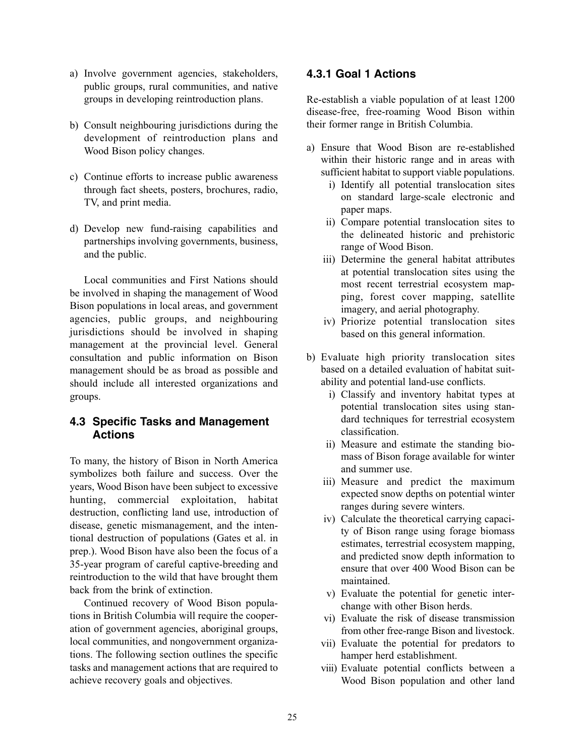- a) Involve government agencies, stakeholders, public groups, rural communities, and native groups in developing reintroduction plans.
- b) Consult neighbouring jurisdictions during the development of reintroduction plans and Wood Bison policy changes.
- c) Continue efforts to increase public awareness through fact sheets, posters, brochures, radio, TV, and print media.
- d) Develop new fund-raising capabilities and partnerships involving governments, business, and the public.

Local communities and First Nations should be involved in shaping the management of Wood Bison populations in local areas, and government agencies, public groups, and neighbouring jurisdictions should be involved in shaping management at the provincial level. General consultation and public information on Bison management should be as broad as possible and should include all interested organizations and groups.

#### **4.3 Specific Tasks and Management Actions**

To many, the history of Bison in North America symbolizes both failure and success. Over the years, Wood Bison have been subject to excessive hunting, commercial exploitation, habitat destruction, conflicting land use, introduction of disease, genetic mismanagement, and the intentional destruction of populations (Gates et al. in prep.). Wood Bison have also been the focus of a 35-year program of careful captive-breeding and reintroduction to the wild that have brought them back from the brink of extinction.

Continued recovery of Wood Bison populations in British Columbia will require the cooperation of government agencies, aboriginal groups, local communities, and nongovernment organizations. The following section outlines the specific tasks and management actions that are required to achieve recovery goals and objectives.

### **4.3.1 Goal 1 Actions**

Re-establish a viable population of at least 1200 disease-free, free-roaming Wood Bison within their former range in British Columbia.

- a) Ensure that Wood Bison are re-established within their historic range and in areas with sufficient habitat to support viable populations.
	- i) Identify all potential translocation sites on standard large-scale electronic and paper maps.
	- ii) Compare potential translocation sites to the delineated historic and prehistoric range of Wood Bison.
	- iii) Determine the general habitat attributes at potential translocation sites using the most recent terrestrial ecosystem mapping, forest cover mapping, satellite imagery, and aerial photography.
	- iv) Priorize potential translocation sites based on this general information.
- b) Evaluate high priority translocation sites based on a detailed evaluation of habitat suitability and potential land-use conflicts.
	- i) Classify and inventory habitat types at potential translocation sites using standard techniques for terrestrial ecosystem classification.
	- ii) Measure and estimate the standing biomass of Bison forage available for winter and summer use.
	- iii) Measure and predict the maximum expected snow depths on potential winter ranges during severe winters.
	- iv) Calculate the theoretical carrying capacity of Bison range using forage biomass estimates, terrestrial ecosystem mapping, and predicted snow depth information to ensure that over 400 Wood Bison can be maintained.
	- v) Evaluate the potential for genetic interchange with other Bison herds.
	- vi) Evaluate the risk of disease transmission from other free-range Bison and livestock.
	- vii) Evaluate the potential for predators to hamper herd establishment.
	- viii) Evaluate potential conflicts between a Wood Bison population and other land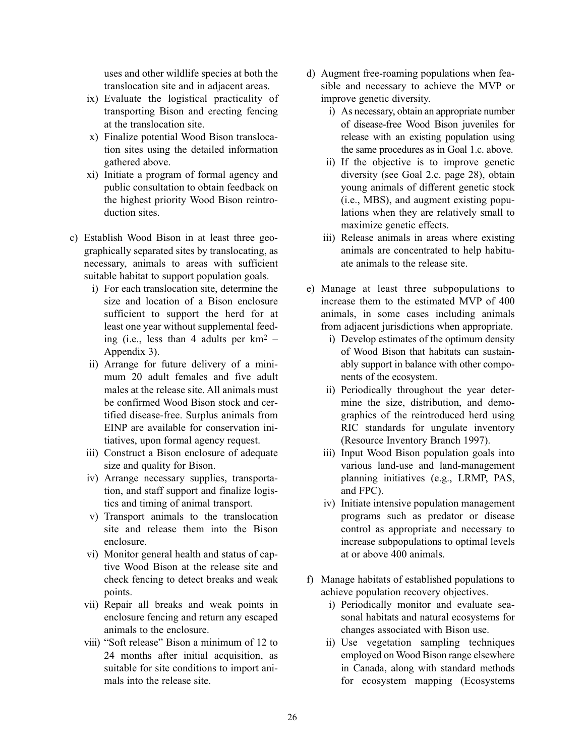uses and other wildlife species at both the translocation site and in adjacent areas.

- ix) Evaluate the logistical practicality of transporting Bison and erecting fencing at the translocation site.
- x) Finalize potential Wood Bison translocation sites using the detailed information gathered above.
- xi) Initiate a program of formal agency and public consultation to obtain feedback on the highest priority Wood Bison reintroduction sites.
- c) Establish Wood Bison in at least three geographically separated sites by translocating, as necessary, animals to areas with sufficient suitable habitat to support population goals.
	- i) For each translocation site, determine the size and location of a Bison enclosure sufficient to support the herd for at least one year without supplemental feeding (i.e., less than 4 adults per  $km^2$  – Appendix 3).
	- ii) Arrange for future delivery of a minimum 20 adult females and five adult males at the release site. All animals must be confirmed Wood Bison stock and certified disease-free. Surplus animals from EINP are available for conservation initiatives, upon formal agency request.
	- iii) Construct a Bison enclosure of adequate size and quality for Bison.
	- iv) Arrange necessary supplies, transportation, and staff support and finalize logistics and timing of animal transport.
	- v) Transport animals to the translocation site and release them into the Bison enclosure.
	- vi) Monitor general health and status of captive Wood Bison at the release site and check fencing to detect breaks and weak points.
	- vii) Repair all breaks and weak points in enclosure fencing and return any escaped animals to the enclosure.
	- viii) "Soft release" Bison a minimum of 12 to 24 months after initial acquisition, as suitable for site conditions to import animals into the release site.
- d) Augment free-roaming populations when feasible and necessary to achieve the MVP or improve genetic diversity.
	- i) As necessary, obtain an appropriate number of disease-free Wood Bison juveniles for release with an existing population using the same procedures as in Goal 1.c. above.
	- ii) If the objective is to improve genetic diversity (see Goal 2.c. page 28), obtain young animals of different genetic stock (i.e., MBS), and augment existing populations when they are relatively small to maximize genetic effects.
	- iii) Release animals in areas where existing animals are concentrated to help habituate animals to the release site.
- e) Manage at least three subpopulations to increase them to the estimated MVP of 400 animals, in some cases including animals from adjacent jurisdictions when appropriate.
	- i) Develop estimates of the optimum density of Wood Bison that habitats can sustainably support in balance with other components of the ecosystem.
	- ii) Periodically throughout the year determine the size, distribution, and demographics of the reintroduced herd using RIC standards for ungulate inventory (Resource Inventory Branch 1997).
	- iii) Input Wood Bison population goals into various land-use and land-management planning initiatives (e.g., LRMP, PAS, and FPC).
	- iv) Initiate intensive population management programs such as predator or disease control as appropriate and necessary to increase subpopulations to optimal levels at or above 400 animals.
- f) Manage habitats of established populations to achieve population recovery objectives.
	- i) Periodically monitor and evaluate seasonal habitats and natural ecosystems for changes associated with Bison use.
	- ii) Use vegetation sampling techniques employed on Wood Bison range elsewhere in Canada, along with standard methods for ecosystem mapping (Ecosystems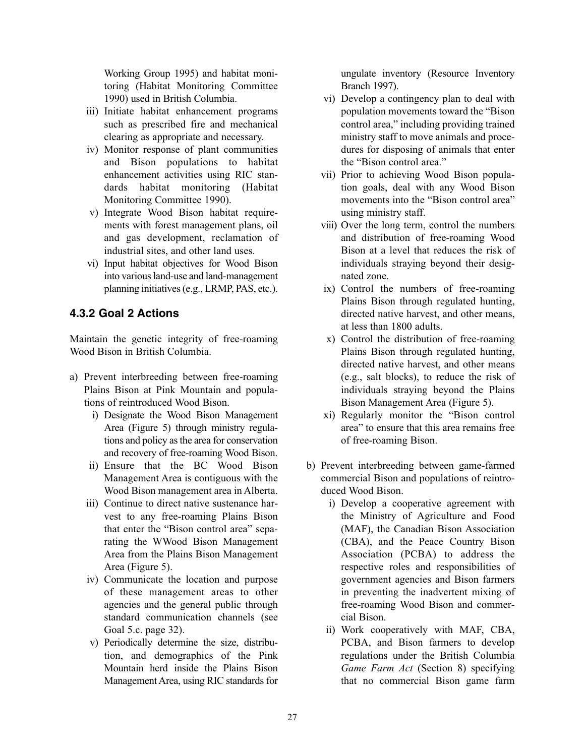Working Group 1995) and habitat monitoring (Habitat Monitoring Committee 1990) used in British Columbia.

- iii) Initiate habitat enhancement programs such as prescribed fire and mechanical clearing as appropriate and necessary.
- iv) Monitor response of plant communities and Bison populations to habitat enhancement activities using RIC standards habitat monitoring (Habitat Monitoring Committee 1990).
- v) Integrate Wood Bison habitat requirements with forest management plans, oil and gas development, reclamation of industrial sites, and other land uses.
- vi) Input habitat objectives for Wood Bison into various land-use and land-management planning initiatives (e.g., LRMP, PAS, etc.).

### **4.3.2 Goal 2 Actions**

Maintain the genetic integrity of free-roaming Wood Bison in British Columbia.

- a) Prevent interbreeding between free-roaming Plains Bison at Pink Mountain and populations of reintroduced Wood Bison.
	- i) Designate the Wood Bison Management Area (Figure 5) through ministry regulations and policy as the area for conservation and recovery of free-roaming Wood Bison.
	- ii) Ensure that the BC Wood Bison Management Area is contiguous with the Wood Bison management area in Alberta.
	- iii) Continue to direct native sustenance harvest to any free-roaming Plains Bison that enter the "Bison control area" separating the WWood Bison Management Area from the Plains Bison Management Area (Figure 5).
	- iv) Communicate the location and purpose of these management areas to other agencies and the general public through standard communication channels (see Goal 5.c. page 32).
	- v) Periodically determine the size, distribution, and demographics of the Pink Mountain herd inside the Plains Bison Management Area, using RIC standards for

ungulate inventory (Resource Inventory Branch 1997).

- vi) Develop a contingency plan to deal with population movements toward the "Bison control area," including providing trained ministry staff to move animals and procedures for disposing of animals that enter the "Bison control area."
- vii) Prior to achieving Wood Bison population goals, deal with any Wood Bison movements into the "Bison control area" using ministry staff.
- viii) Over the long term, control the numbers and distribution of free-roaming Wood Bison at a level that reduces the risk of individuals straying beyond their designated zone.
- ix) Control the numbers of free-roaming Plains Bison through regulated hunting, directed native harvest, and other means, at less than 1800 adults.
- x) Control the distribution of free-roaming Plains Bison through regulated hunting, directed native harvest, and other means (e.g., salt blocks), to reduce the risk of individuals straying beyond the Plains Bison Management Area (Figure 5).
- xi) Regularly monitor the "Bison control area" to ensure that this area remains free of free-roaming Bison.
- b) Prevent interbreeding between game-farmed commercial Bison and populations of reintroduced Wood Bison.
	- i) Develop a cooperative agreement with the Ministry of Agriculture and Food (MAF), the Canadian Bison Association (CBA), and the Peace Country Bison Association (PCBA) to address the respective roles and responsibilities of government agencies and Bison farmers in preventing the inadvertent mixing of free-roaming Wood Bison and commercial Bison.
	- ii) Work cooperatively with MAF, CBA, PCBA, and Bison farmers to develop regulations under the British Columbia *Game Farm Act* (Section 8) specifying that no commercial Bison game farm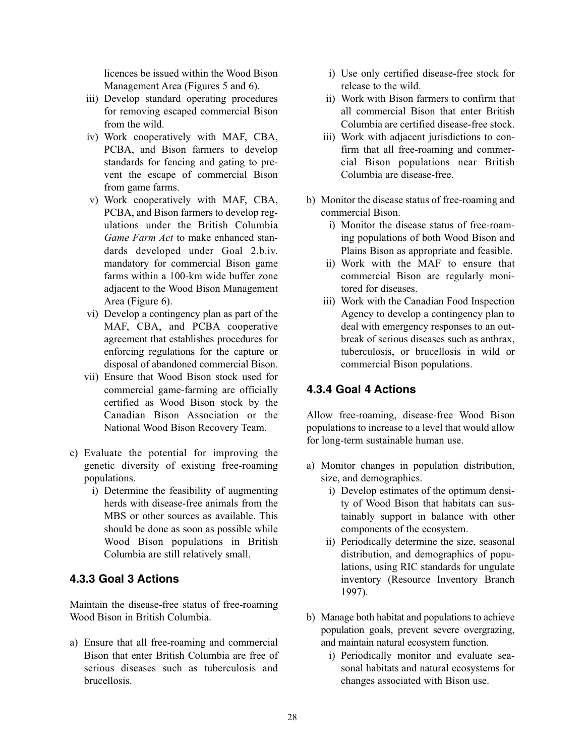licences be issued within the Wood Bison Management Area (Figures 5 and 6).

- iii) Develop standard operating procedures for removing escaped commercial Bison from the wild.
- iv) Work cooperatively with MAF, CBA, PCBA, and Bison farmers to develop standards for fencing and gating to prevent the escape of commercial Bison from game farms.
- v) Work cooperatively with MAF, CBA, PCBA, and Bison farmers to develop regulations under the British Columbia *Game Farm Act* to make enhanced standards developed under Goal 2.b.iv. mandatory for commercial Bison game farms within a 100-km wide buffer zone adjacent to the Wood Bison Management Area (Figure 6).
- vi) Develop a contingency plan as part of the MAF, CBA, and PCBA cooperative agreement that establishes procedures for enforcing regulations for the capture or disposal of abandoned commercial Bison.
- vii) Ensure that Wood Bison stock used for commercial game-farming are officially certified as Wood Bison stock by the Canadian Bison Association or the National Wood Bison Recovery Team.
- c) Evaluate the potential for improving the genetic diversity of existing free-roaming populations.
	- i) Determine the feasibility of augmenting herds with disease-free animals from the MBS or other sources as available. This should be done as soon as possible while Wood Bison populations in British Columbia are still relatively small.

### **4.3.3 Goal 3 Actions**

Maintain the disease-free status of free-roaming Wood Bison in British Columbia.

a) Ensure that all free-roaming and commercial Bison that enter British Columbia are free of serious diseases such as tuberculosis and **brucellosis** 

- i) Use only certified disease-free stock for release to the wild.
- ii) Work with Bison farmers to confirm that all commercial Bison that enter British Columbia are certified disease-free stock.
- iii) Work with adjacent jurisdictions to confirm that all free-roaming and commercial Bison populations near British Columbia are disease-free.
- b) Monitor the disease status of free-roaming and commercial Bison.
	- i) Monitor the disease status of free-roaming populations of both Wood Bison and Plains Bison as appropriate and feasible.
	- ii) Work with the MAF to ensure that commercial Bison are regularly monitored for diseases.
	- iii) Work with the Canadian Food Inspection Agency to develop a contingency plan to deal with emergency responses to an outbreak of serious diseases such as anthrax, tuberculosis, or brucellosis in wild or commercial Bison populations.

### **4.3.4 Goal 4 Actions**

Allow free-roaming, disease-free Wood Bison populations to increase to a level that would allow for long-term sustainable human use.

- a) Monitor changes in population distribution, size, and demographics.
	- i) Develop estimates of the optimum density of Wood Bison that habitats can sustainably support in balance with other components of the ecosystem.
	- ii) Periodically determine the size, seasonal distribution, and demographics of populations, using RIC standards for ungulate inventory (Resource Inventory Branch 1997).
- b) Manage both habitat and populations to achieve population goals, prevent severe overgrazing, and maintain natural ecosystem function.
	- i) Periodically monitor and evaluate seasonal habitats and natural ecosystems for changes associated with Bison use.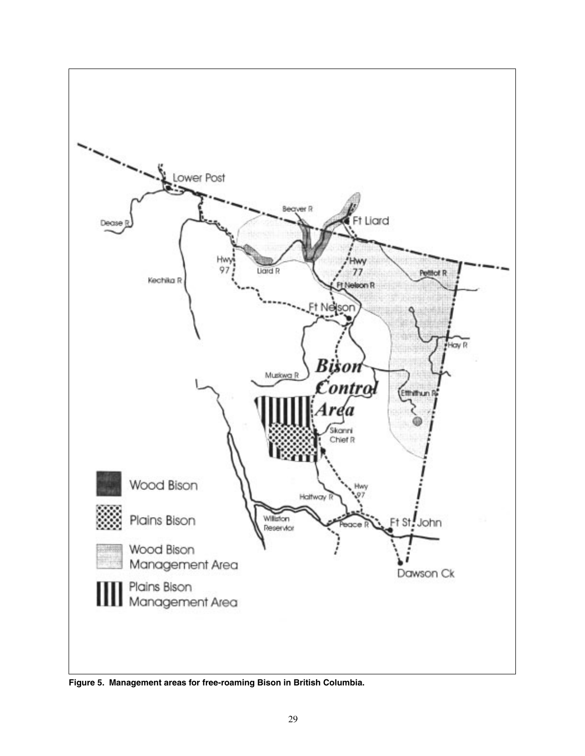

**Figure 5. Management areas for free-roaming Bison in British Columbia.**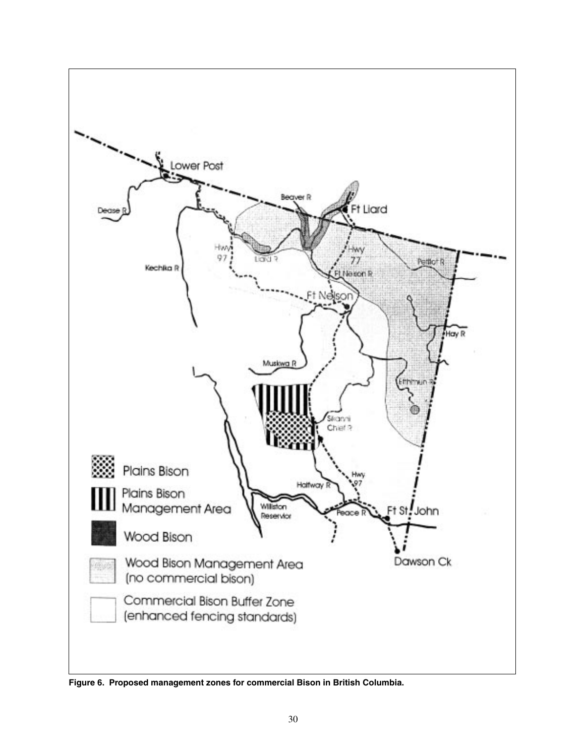

**Figure 6. Proposed management zones for commercial Bison in British Columbia.**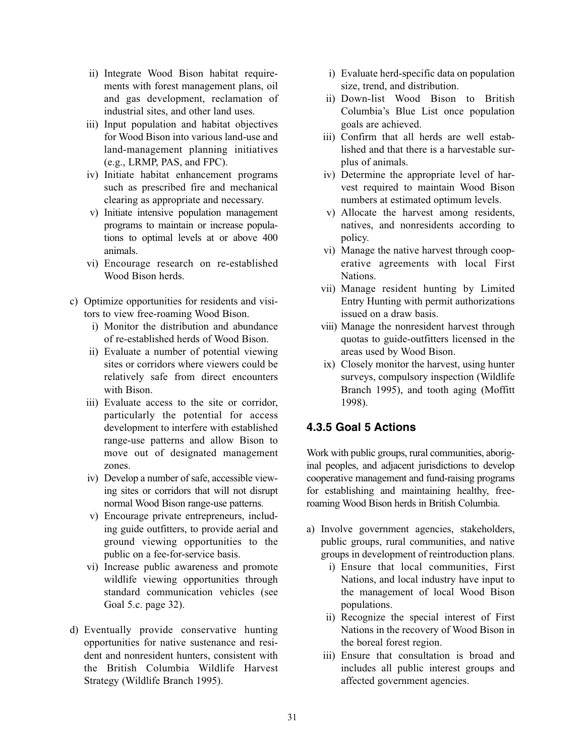- ii) Integrate Wood Bison habitat requirements with forest management plans, oil and gas development, reclamation of industrial sites, and other land uses.
- iii) Input population and habitat objectives for Wood Bison into various land-use and land-management planning initiatives (e.g., LRMP, PAS, and FPC).
- iv) Initiate habitat enhancement programs such as prescribed fire and mechanical clearing as appropriate and necessary.
- v) Initiate intensive population management programs to maintain or increase populations to optimal levels at or above 400 animals.
- vi) Encourage research on re-established Wood Bison herds.
- c) Optimize opportunities for residents and visitors to view free-roaming Wood Bison.
	- i) Monitor the distribution and abundance of re-established herds of Wood Bison.
	- ii) Evaluate a number of potential viewing sites or corridors where viewers could be relatively safe from direct encounters with Bison.
	- iii) Evaluate access to the site or corridor, particularly the potential for access development to interfere with established range-use patterns and allow Bison to move out of designated management zones.
	- iv) Develop a number of safe, accessible viewing sites or corridors that will not disrupt normal Wood Bison range-use patterns.
	- v) Encourage private entrepreneurs, including guide outfitters, to provide aerial and ground viewing opportunities to the public on a fee-for-service basis.
	- vi) Increase public awareness and promote wildlife viewing opportunities through standard communication vehicles (see Goal 5.c. page 32).
- d) Eventually provide conservative hunting opportunities for native sustenance and resident and nonresident hunters, consistent with the British Columbia Wildlife Harvest Strategy (Wildlife Branch 1995).
- i) Evaluate herd-specific data on population size, trend, and distribution.
- ii) Down-list Wood Bison to British Columbia's Blue List once population goals are achieved.
- iii) Confirm that all herds are well established and that there is a harvestable surplus of animals.
- iv) Determine the appropriate level of harvest required to maintain Wood Bison numbers at estimated optimum levels.
- v) Allocate the harvest among residents, natives, and nonresidents according to policy.
- vi) Manage the native harvest through cooperative agreements with local First Nations.
- vii) Manage resident hunting by Limited Entry Hunting with permit authorizations issued on a draw basis.
- viii) Manage the nonresident harvest through quotas to guide-outfitters licensed in the areas used by Wood Bison.
- ix) Closely monitor the harvest, using hunter surveys, compulsory inspection (Wildlife Branch 1995), and tooth aging (Moffitt 1998).

### **4.3.5 Goal 5 Actions**

Work with public groups, rural communities, aboriginal peoples, and adjacent jurisdictions to develop cooperative management and fund-raising programs for establishing and maintaining healthy, freeroaming Wood Bison herds in British Columbia.

- a) Involve government agencies, stakeholders, public groups, rural communities, and native groups in development of reintroduction plans.
	- i) Ensure that local communities, First Nations, and local industry have input to the management of local Wood Bison populations.
	- ii) Recognize the special interest of First Nations in the recovery of Wood Bison in the boreal forest region.
	- iii) Ensure that consultation is broad and includes all public interest groups and affected government agencies.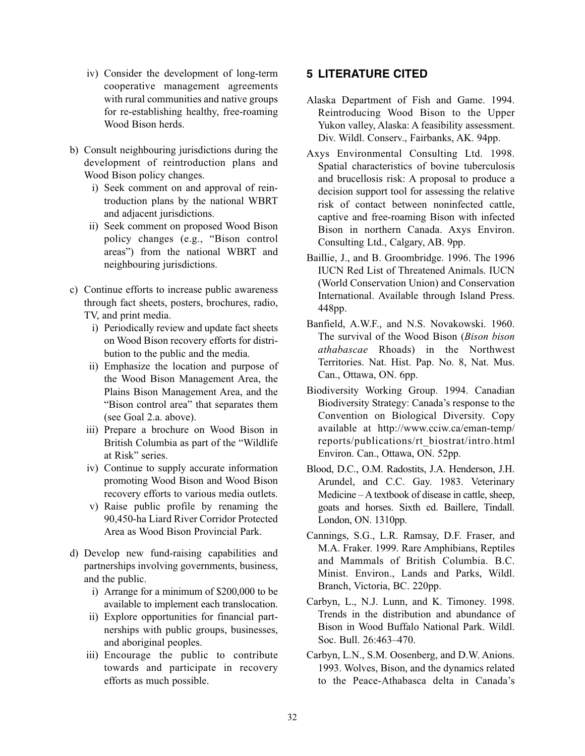- iv) Consider the development of long-term cooperative management agreements with rural communities and native groups for re-establishing healthy, free-roaming Wood Bison herds.
- b) Consult neighbouring jurisdictions during the development of reintroduction plans and Wood Bison policy changes.
	- i) Seek comment on and approval of reintroduction plans by the national WBRT and adjacent jurisdictions.
	- ii) Seek comment on proposed Wood Bison policy changes (e.g., "Bison control areas") from the national WBRT and neighbouring jurisdictions.
- c) Continue efforts to increase public awareness through fact sheets, posters, brochures, radio, TV, and print media.
	- i) Periodically review and update fact sheets on Wood Bison recovery efforts for distribution to the public and the media.
	- ii) Emphasize the location and purpose of the Wood Bison Management Area, the Plains Bison Management Area, and the "Bison control area" that separates them (see Goal 2.a. above).
	- iii) Prepare a brochure on Wood Bison in British Columbia as part of the "Wildlife at Risk" series.
	- iv) Continue to supply accurate information promoting Wood Bison and Wood Bison recovery efforts to various media outlets.
	- v) Raise public profile by renaming the 90,450-ha Liard River Corridor Protected Area as Wood Bison Provincial Park.
- d) Develop new fund-raising capabilities and partnerships involving governments, business, and the public.
	- i) Arrange for a minimum of \$200,000 to be available to implement each translocation.
	- ii) Explore opportunities for financial partnerships with public groups, businesses, and aboriginal peoples.
	- iii) Encourage the public to contribute towards and participate in recovery efforts as much possible.

## **5 LITERATURE CITED**

- Alaska Department of Fish and Game. 1994. Reintroducing Wood Bison to the Upper Yukon valley, Alaska: A feasibility assessment. Div. Wildl. Conserv., Fairbanks, AK. 94pp.
- Axys Environmental Consulting Ltd. 1998. Spatial characteristics of bovine tuberculosis and brucellosis risk: A proposal to produce a decision support tool for assessing the relative risk of contact between noninfected cattle, captive and free-roaming Bison with infected Bison in northern Canada. Axys Environ. Consulting Ltd., Calgary, AB. 9pp.
- Baillie, J., and B. Groombridge. 1996. The 1996 IUCN Red List of Threatened Animals. IUCN (World Conservation Union) and Conservation International. Available through Island Press. 448pp.
- Banfield, A.W.F., and N.S. Novakowski. 1960. The survival of the Wood Bison (*Bison bison athabascae* Rhoads) in the Northwest Territories. Nat. Hist. Pap. No. 8, Nat. Mus. Can., Ottawa, ON. 6pp.
- Biodiversity Working Group. 1994. Canadian Biodiversity Strategy: Canada's response to the Convention on Biological Diversity. Copy available at http://www.cciw.ca/eman-temp/ reports/publications/rt\_biostrat/intro.html Environ. Can., Ottawa, ON. 52pp.
- Blood, D.C., O.M. Radostits, J.A. Henderson, J.H. Arundel, and C.C. Gay. 1983. Veterinary Medicine – A textbook of disease in cattle, sheep, goats and horses. Sixth ed. Baillere, Tindall. London, ON. 1310pp.
- Cannings, S.G., L.R. Ramsay, D.F. Fraser, and M.A. Fraker. 1999. Rare Amphibians, Reptiles and Mammals of British Columbia. B.C. Minist. Environ., Lands and Parks, Wildl. Branch, Victoria, BC. 220pp.
- Carbyn, L., N.J. Lunn, and K. Timoney. 1998. Trends in the distribution and abundance of Bison in Wood Buffalo National Park. Wildl. Soc. Bull. 26:463–470.
- Carbyn, L.N., S.M. Oosenberg, and D.W. Anions. 1993. Wolves, Bison, and the dynamics related to the Peace-Athabasca delta in Canada's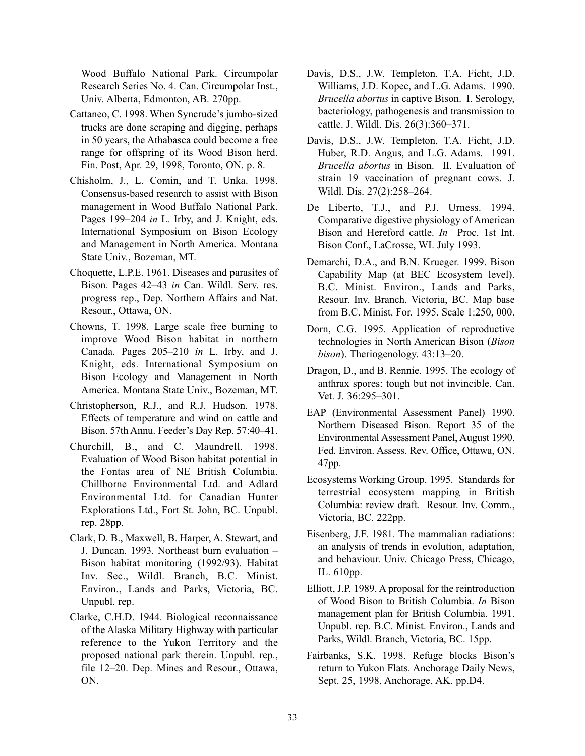Wood Buffalo National Park. Circumpolar Research Series No. 4. Can. Circumpolar Inst., Univ. Alberta, Edmonton, AB. 270pp.

- Cattaneo, C. 1998. When Syncrude's jumbo-sized trucks are done scraping and digging, perhaps in 50 years, the Athabasca could become a free range for offspring of its Wood Bison herd. Fin. Post, Apr. 29, 1998, Toronto, ON. p. 8.
- Chisholm, J., L. Comin, and T. Unka. 1998. Consensus-based research to assist with Bison management in Wood Buffalo National Park. Pages 199–204 *in* L. Irby, and J. Knight, eds. International Symposium on Bison Ecology and Management in North America. Montana State Univ., Bozeman, MT.
- Choquette, L.P.E. 1961. Diseases and parasites of Bison. Pages 42–43 *in* Can. Wildl. Serv. res. progress rep., Dep. Northern Affairs and Nat. Resour., Ottawa, ON.
- Chowns, T. 1998. Large scale free burning to improve Wood Bison habitat in northern Canada. Pages 205–210 *in* L. Irby, and J. Knight, eds. International Symposium on Bison Ecology and Management in North America. Montana State Univ., Bozeman, MT.
- Christopherson, R.J., and R.J. Hudson. 1978. Effects of temperature and wind on cattle and Bison. 57th Annu. Feeder's Day Rep. 57:40–41.
- Churchill, B., and C. Maundrell. 1998. Evaluation of Wood Bison habitat potential in the Fontas area of NE British Columbia. Chillborne Environmental Ltd. and Adlard Environmental Ltd. for Canadian Hunter Explorations Ltd., Fort St. John, BC. Unpubl. rep. 28pp.
- Clark, D. B., Maxwell, B. Harper, A. Stewart, and J. Duncan. 1993. Northeast burn evaluation – Bison habitat monitoring (1992/93). Habitat Inv. Sec., Wildl. Branch, B.C. Minist. Environ., Lands and Parks, Victoria, BC. Unpubl. rep.
- Clarke, C.H.D. 1944. Biological reconnaissance of the Alaska Military Highway with particular reference to the Yukon Territory and the proposed national park therein. Unpubl. rep., file 12–20. Dep. Mines and Resour., Ottawa, ON.
- Davis, D.S., J.W. Templeton, T.A. Ficht, J.D. Williams, J.D. Kopec, and L.G. Adams. 1990. *Brucella abortus* in captive Bison. I. Serology, bacteriology, pathogenesis and transmission to cattle. J. Wildl. Dis. 26(3):360–371.
- Davis, D.S., J.W. Templeton, T.A. Ficht, J.D. Huber, R.D. Angus, and L.G. Adams. 1991. *Brucella abortus* in Bison. II. Evaluation of strain 19 vaccination of pregnant cows. J. Wildl. Dis. 27(2):258–264.
- De Liberto, T.J., and P.J. Urness. 1994. Comparative digestive physiology of American Bison and Hereford cattle. *In* Proc. 1st Int. Bison Conf., LaCrosse, WI. July 1993.
- Demarchi, D.A., and B.N. Krueger. 1999. Bison Capability Map (at BEC Ecosystem level). B.C. Minist. Environ., Lands and Parks, Resour. Inv. Branch, Victoria, BC. Map base from B.C. Minist. For. 1995. Scale 1:250, 000.
- Dorn, C.G. 1995. Application of reproductive technologies in North American Bison (*Bison bison*). Theriogenology. 43:13–20.
- Dragon, D., and B. Rennie. 1995. The ecology of anthrax spores: tough but not invincible. Can. Vet. J. 36:295–301.
- EAP (Environmental Assessment Panel) 1990. Northern Diseased Bison. Report 35 of the Environmental Assessment Panel, August 1990. Fed. Environ. Assess. Rev. Office, Ottawa, ON. 47pp.
- Ecosystems Working Group. 1995. Standards for terrestrial ecosystem mapping in British Columbia: review draft. Resour. Inv. Comm., Victoria, BC. 222pp.
- Eisenberg, J.F. 1981. The mammalian radiations: an analysis of trends in evolution, adaptation, and behaviour. Univ. Chicago Press, Chicago, IL. 610pp.
- Elliott, J.P. 1989. A proposal for the reintroduction of Wood Bison to British Columbia. *In* Bison management plan for British Columbia. 1991. Unpubl. rep. B.C. Minist. Environ., Lands and Parks, Wildl. Branch, Victoria, BC. 15pp.
- Fairbanks, S.K. 1998. Refuge blocks Bison's return to Yukon Flats. Anchorage Daily News, Sept. 25, 1998, Anchorage, AK. pp.D4.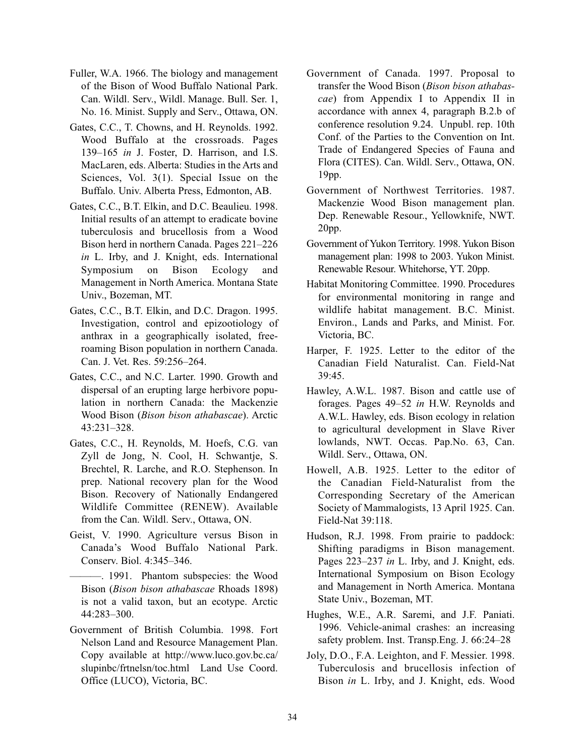- Fuller, W.A. 1966. The biology and management of the Bison of Wood Buffalo National Park. Can. Wildl. Serv., Wildl. Manage. Bull. Ser. 1, No. 16. Minist. Supply and Serv., Ottawa, ON.
- Gates, C.C., T. Chowns, and H. Reynolds. 1992. Wood Buffalo at the crossroads. Pages 139–165 *in* J. Foster, D. Harrison, and I.S. MacLaren, eds. Alberta: Studies in the Arts and Sciences, Vol. 3(1). Special Issue on the Buffalo. Univ. Alberta Press, Edmonton, AB.
- Gates, C.C., B.T. Elkin, and D.C. Beaulieu. 1998. Initial results of an attempt to eradicate bovine tuberculosis and brucellosis from a Wood Bison herd in northern Canada. Pages 221–226 *in* L. Irby, and J. Knight, eds. International Symposium on Bison Ecology and Management in North America. Montana State Univ., Bozeman, MT.
- Gates, C.C., B.T. Elkin, and D.C. Dragon. 1995. Investigation, control and epizootiology of anthrax in a geographically isolated, freeroaming Bison population in northern Canada. Can. J. Vet. Res. 59:256–264.
- Gates, C.C., and N.C. Larter. 1990. Growth and dispersal of an erupting large herbivore population in northern Canada: the Mackenzie Wood Bison (*Bison bison athabascae*). Arctic 43:231–328.
- Gates, C.C., H. Reynolds, M. Hoefs, C.G. van Zyll de Jong, N. Cool, H. Schwantje, S. Brechtel, R. Larche, and R.O. Stephenson. In prep. National recovery plan for the Wood Bison. Recovery of Nationally Endangered Wildlife Committee (RENEW). Available from the Can. Wildl. Serv., Ottawa, ON.
- Geist, V. 1990. Agriculture versus Bison in Canada's Wood Buffalo National Park. Conserv. Biol. 4:345–346.
- ———. 1991. Phantom subspecies: the Wood Bison (*Bison bison athabascae* Rhoads 1898) is not a valid taxon, but an ecotype. Arctic 44:283–300.
- Government of British Columbia. 1998. Fort Nelson Land and Resource Management Plan. Copy available at http://www.luco.gov.bc.ca/ slupinbc/frtnelsn/toc.html Land Use Coord. Office (LUCO), Victoria, BC.
- Government of Canada. 1997. Proposal to transfer the Wood Bison (*Bison bison athabascae*) from Appendix I to Appendix II in accordance with annex 4, paragraph B.2.b of conference resolution 9.24. Unpubl. rep. 10th Conf. of the Parties to the Convention on Int. Trade of Endangered Species of Fauna and Flora (CITES). Can. Wildl. Serv., Ottawa, ON. 19pp.
- Government of Northwest Territories. 1987. Mackenzie Wood Bison management plan. Dep. Renewable Resour., Yellowknife, NWT. 20pp.
- Government of Yukon Territory. 1998. Yukon Bison management plan: 1998 to 2003. Yukon Minist. Renewable Resour. Whitehorse, YT. 20pp.
- Habitat Monitoring Committee. 1990. Procedures for environmental monitoring in range and wildlife habitat management. B.C. Minist. Environ., Lands and Parks, and Minist. For. Victoria, BC.
- Harper, F. 1925. Letter to the editor of the Canadian Field Naturalist. Can. Field-Nat 39:45.
- Hawley, A.W.L. 1987. Bison and cattle use of forages. Pages 49–52 *in* H.W. Reynolds and A.W.L. Hawley, eds. Bison ecology in relation to agricultural development in Slave River lowlands, NWT. Occas. Pap.No. 63, Can. Wildl. Serv., Ottawa, ON.
- Howell, A.B. 1925. Letter to the editor of the Canadian Field-Naturalist from the Corresponding Secretary of the American Society of Mammalogists, 13 April 1925. Can. Field-Nat 39:118.
- Hudson, R.J. 1998. From prairie to paddock: Shifting paradigms in Bison management. Pages 223–237 *in* L. Irby, and J. Knight, eds. International Symposium on Bison Ecology and Management in North America. Montana State Univ., Bozeman, MT.
- Hughes, W.E., A.R. Saremi, and J.F. Paniati. 1996. Vehicle-animal crashes: an increasing safety problem. Inst. Transp.Eng. J. 66:24–28
- Joly, D.O., F.A. Leighton, and F. Messier. 1998. Tuberculosis and brucellosis infection of Bison *in* L. Irby, and J. Knight, eds. Wood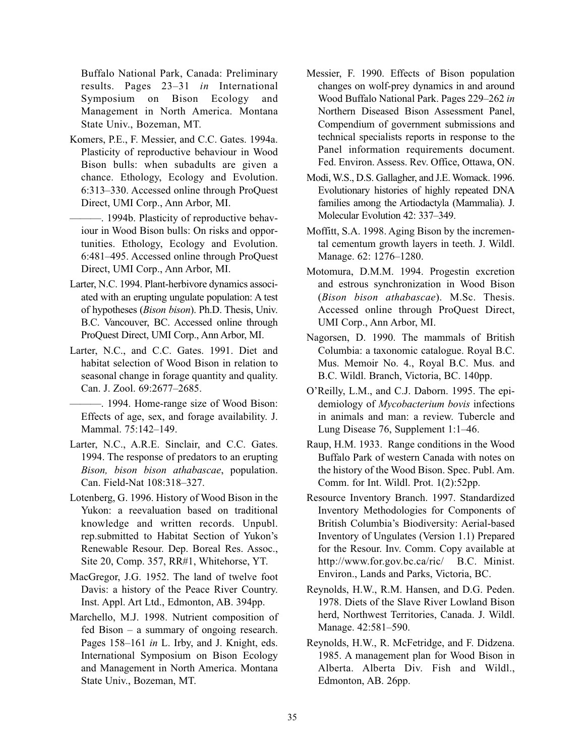Buffalo National Park, Canada: Preliminary results. Pages 23–31 *in* International Symposium on Bison Ecology and Management in North America. Montana State Univ., Bozeman, MT.

- Komers, P.E., F. Messier, and C.C. Gates. 1994a. Plasticity of reproductive behaviour in Wood Bison bulls: when subadults are given a chance. Ethology, Ecology and Evolution. 6:313–330. Accessed online through ProQuest Direct, UMI Corp., Ann Arbor, MI.
- ———. 1994b. Plasticity of reproductive behaviour in Wood Bison bulls: On risks and opportunities. Ethology, Ecology and Evolution. 6:481–495. Accessed online through ProQuest Direct, UMI Corp., Ann Arbor, MI.
- Larter, N.C. 1994. Plant-herbivore dynamics associated with an erupting ungulate population: A test of hypotheses (*Bison bison*). Ph.D. Thesis, Univ. B.C. Vancouver, BC. Accessed online through ProQuest Direct, UMI Corp., Ann Arbor, MI.
- Larter, N.C., and C.C. Gates. 1991. Diet and habitat selection of Wood Bison in relation to seasonal change in forage quantity and quality. Can. J. Zool. 69:2677–2685.

———. 1994. Home-range size of Wood Bison: Effects of age, sex, and forage availability. J. Mammal. 75:142–149.

- Larter, N.C., A.R.E. Sinclair, and C.C. Gates. 1994. The response of predators to an erupting *Bison, bison bison athabascae*, population. Can. Field-Nat 108:318–327.
- Lotenberg, G. 1996. History of Wood Bison in the Yukon: a reevaluation based on traditional knowledge and written records. Unpubl. rep.submitted to Habitat Section of Yukon's Renewable Resour. Dep. Boreal Res. Assoc., Site 20, Comp. 357, RR#1, Whitehorse, YT.
- MacGregor, J.G. 1952. The land of twelve foot Davis: a history of the Peace River Country. Inst. Appl. Art Ltd., Edmonton, AB. 394pp.
- Marchello, M.J. 1998. Nutrient composition of fed Bison – a summary of ongoing research. Pages 158–161 *in* L. Irby, and J. Knight, eds. International Symposium on Bison Ecology and Management in North America. Montana State Univ., Bozeman, MT.
- Messier, F. 1990. Effects of Bison population changes on wolf-prey dynamics in and around Wood Buffalo National Park. Pages 229–262 *in* Northern Diseased Bison Assessment Panel, Compendium of government submissions and technical specialists reports in response to the Panel information requirements document. Fed. Environ. Assess. Rev. Office, Ottawa, ON.
- Modi, W.S., D.S. Gallagher, and J.E. Womack. 1996. Evolutionary histories of highly repeated DNA families among the Artiodactyla (Mammalia). J. Molecular Evolution 42: 337–349.
- Moffitt, S.A. 1998. Aging Bison by the incremental cementum growth layers in teeth. J. Wildl. Manage. 62: 1276–1280.
- Motomura, D.M.M. 1994. Progestin excretion and estrous synchronization in Wood Bison (*Bison bison athabascae*). M.Sc. Thesis. Accessed online through ProQuest Direct, UMI Corp., Ann Arbor, MI.
- Nagorsen, D. 1990. The mammals of British Columbia: a taxonomic catalogue. Royal B.C. Mus. Memoir No. 4., Royal B.C. Mus. and B.C. Wildl. Branch, Victoria, BC. 140pp.
- O'Reilly, L.M., and C.J. Daborn. 1995. The epidemiology of *Mycobacterium bovis* infections in animals and man: a review. Tubercle and Lung Disease 76, Supplement 1:1–46.
- Raup, H.M. 1933. Range conditions in the Wood Buffalo Park of western Canada with notes on the history of the Wood Bison. Spec. Publ. Am. Comm. for Int. Wildl. Prot. 1(2):52pp.
- Resource Inventory Branch. 1997. Standardized Inventory Methodologies for Components of British Columbia's Biodiversity: Aerial-based Inventory of Ungulates (Version 1.1) Prepared for the Resour. Inv. Comm. Copy available at http://www.for.gov.bc.ca/ric/ B.C. Minist. Environ., Lands and Parks, Victoria, BC.
- Reynolds, H.W., R.M. Hansen, and D.G. Peden. 1978. Diets of the Slave River Lowland Bison herd, Northwest Territories, Canada. J. Wildl. Manage. 42:581–590.
- Reynolds, H.W., R. McFetridge, and F. Didzena. 1985. A management plan for Wood Bison in Alberta. Alberta Div. Fish and Wildl., Edmonton, AB. 26pp.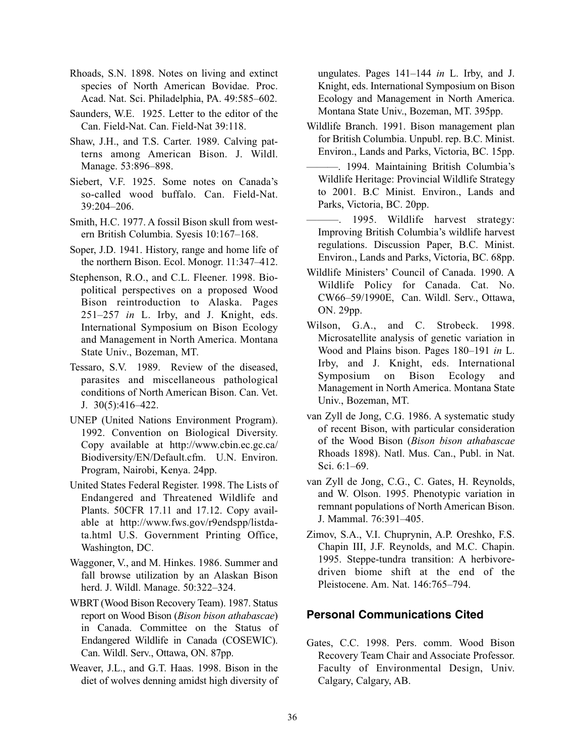- Rhoads, S.N. 1898. Notes on living and extinct species of North American Bovidae. Proc. Acad. Nat. Sci. Philadelphia, PA. 49:585–602.
- Saunders, W.E. 1925. Letter to the editor of the Can. Field-Nat. Can. Field-Nat 39:118.
- Shaw, J.H., and T.S. Carter. 1989. Calving patterns among American Bison. J. Wildl. Manage. 53:896–898.
- Siebert, V.F. 1925. Some notes on Canada's so-called wood buffalo. Can. Field-Nat. 39:204–206.
- Smith, H.C. 1977. A fossil Bison skull from western British Columbia. Syesis 10:167–168.
- Soper, J.D. 1941. History, range and home life of the northern Bison. Ecol. Monogr. 11:347–412.
- Stephenson, R.O., and C.L. Fleener. 1998. Biopolitical perspectives on a proposed Wood Bison reintroduction to Alaska. Pages 251–257 *in* L. Irby, and J. Knight, eds. International Symposium on Bison Ecology and Management in North America. Montana State Univ., Bozeman, MT.
- Tessaro, S.V. 1989. Review of the diseased, parasites and miscellaneous pathological conditions of North American Bison. Can. Vet. J. 30(5):416–422.
- UNEP (United Nations Environment Program). 1992. Convention on Biological Diversity. Copy available at http://www.cbin.ec.gc.ca/ Biodiversity/EN/Default.cfm. U.N. Environ. Program, Nairobi, Kenya. 24pp.
- United States Federal Register. 1998. The Lists of Endangered and Threatened Wildlife and Plants. 50CFR 17.11 and 17.12. Copy available at http://www.fws.gov/r9endspp/listdata.html U.S. Government Printing Office, Washington, DC.
- Waggoner, V., and M. Hinkes. 1986. Summer and fall browse utilization by an Alaskan Bison herd. J. Wildl. Manage. 50:322–324.
- WBRT (Wood Bison Recovery Team). 1987. Status report on Wood Bison (*Bison bison athabascae*) in Canada. Committee on the Status of Endangered Wildlife in Canada (COSEWIC). Can. Wildl. Serv., Ottawa, ON. 87pp.
- Weaver, J.L., and G.T. Haas. 1998. Bison in the diet of wolves denning amidst high diversity of

ungulates. Pages 141–144 *in* L. Irby, and J. Knight, eds. International Symposium on Bison Ecology and Management in North America. Montana State Univ., Bozeman, MT. 395pp.

- Wildlife Branch. 1991. Bison management plan for British Columbia. Unpubl. rep. B.C. Minist. Environ., Lands and Parks, Victoria, BC. 15pp.
- ———. 1994. Maintaining British Columbia's Wildlife Heritage: Provincial Wildlife Strategy to 2001. B.C Minist. Environ., Lands and Parks, Victoria, BC. 20pp.
- 1995. Wildlife harvest strategy: Improving British Columbia's wildlife harvest regulations. Discussion Paper, B.C. Minist. Environ., Lands and Parks, Victoria, BC. 68pp.
- Wildlife Ministers' Council of Canada. 1990. A Wildlife Policy for Canada. Cat. No. CW66–59/1990E, Can. Wildl. Serv., Ottawa, ON. 29pp.
- Wilson, G.A., and C. Strobeck. 1998. Microsatellite analysis of genetic variation in Wood and Plains bison. Pages 180–191 *in* L. Irby, and J. Knight, eds. International Symposium on Bison Ecology and Management in North America. Montana State Univ., Bozeman, MT.
- van Zyll de Jong, C.G. 1986. A systematic study of recent Bison, with particular consideration of the Wood Bison (*Bison bison athabascae* Rhoads 1898). Natl. Mus. Can., Publ. in Nat. Sci. 6:1–69.
- van Zyll de Jong, C.G., C. Gates, H. Reynolds, and W. Olson. 1995. Phenotypic variation in remnant populations of North American Bison. J. Mammal. 76:391–405.
- Zimov, S.A., V.I. Chuprynin, A.P. Oreshko, F.S. Chapin III, J.F. Reynolds, and M.C. Chapin. 1995. Steppe-tundra transition: A herbivoredriven biome shift at the end of the Pleistocene. Am. Nat. 146:765–794.

#### **Personal Communications Cited**

Gates, C.C. 1998. Pers. comm. Wood Bison Recovery Team Chair and Associate Professor. Faculty of Environmental Design, Univ. Calgary, Calgary, AB.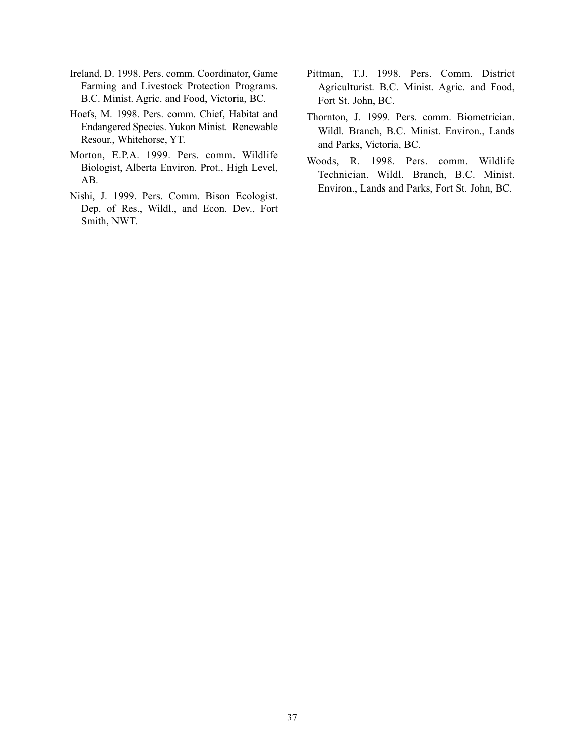- Ireland, D. 1998. Pers. comm. Coordinator, Game Farming and Livestock Protection Programs. B.C. Minist. Agric. and Food, Victoria, BC.
- Hoefs, M. 1998. Pers. comm. Chief, Habitat and Endangered Species. Yukon Minist. Renewable Resour., Whitehorse, YT.
- Morton, E.P.A. 1999. Pers. comm. Wildlife Biologist, Alberta Environ. Prot., High Level, AB.
- Nishi, J. 1999. Pers. Comm. Bison Ecologist. Dep. of Res., Wildl., and Econ. Dev., Fort Smith, NWT.
- Pittman, T.J. 1998. Pers. Comm. District Agriculturist. B.C. Minist. Agric. and Food, Fort St. John, BC.
- Thornton, J. 1999. Pers. comm. Biometrician. Wildl. Branch, B.C. Minist. Environ., Lands and Parks, Victoria, BC.
- Woods, R. 1998. Pers. comm. Wildlife Technician. Wildl. Branch, B.C. Minist. Environ., Lands and Parks, Fort St. John, BC.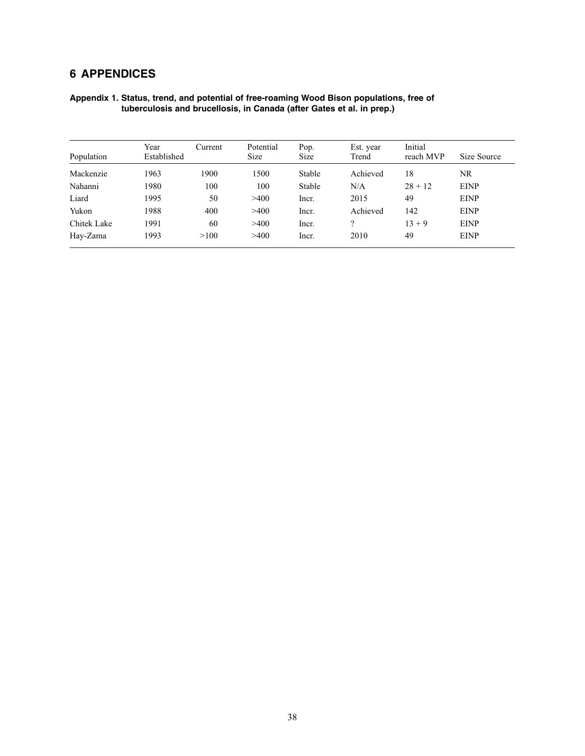## **6 APPENDICES**

| Appendix 1. Status, trend, and potential of free-roaming Wood Bison populations, free of |  |
|------------------------------------------------------------------------------------------|--|
| tuberculosis and brucellosis, in Canada (after Gates et al. in prep.)                    |  |
|                                                                                          |  |

| Population  | Year<br>Established | Current | Potential<br><b>Size</b> | Pop.<br><b>Size</b> | Est. year<br>Trend | Initial<br>reach MVP | Size Source |
|-------------|---------------------|---------|--------------------------|---------------------|--------------------|----------------------|-------------|
| Mackenzie   | 1963                | 1900    | 1500                     | Stable              | Achieved           | 18                   | NR          |
| Nahanni     | 1980                | 100     | 100                      | Stable              | N/A                | $28 + 12$            | <b>EINP</b> |
| Liard       | 1995                | 50      | >400                     | Incr.               | 2015               | 49                   | <b>EINP</b> |
| Yukon       | 1988                | 400     | >400                     | Incr.               | Achieved           | 142                  | <b>EINP</b> |
| Chitek Lake | 1991                | 60      | >400                     | Incr.               |                    | $13 + 9$             | <b>EINP</b> |
| Hay-Zama    | 1993                | >100    | >400                     | Incr.               | 2010               | 49                   | <b>EINP</b> |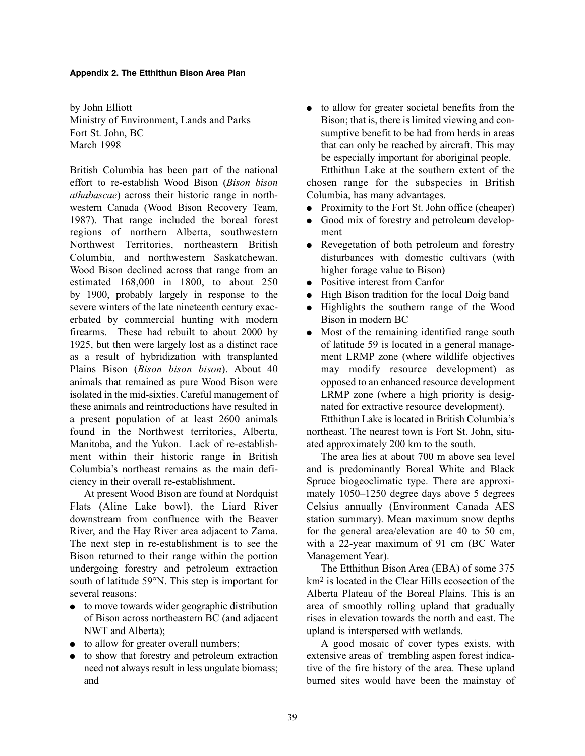#### **Appendix 2. The Etthithun Bison Area Plan**

by John Elliott Ministry of Environment, Lands and Parks Fort St. John, BC March 1998

British Columbia has been part of the national effort to re-establish Wood Bison (*Bison bison athabascae*) across their historic range in northwestern Canada (Wood Bison Recovery Team, 1987). That range included the boreal forest regions of northern Alberta, southwestern Northwest Territories, northeastern British Columbia, and northwestern Saskatchewan. Wood Bison declined across that range from an estimated 168,000 in 1800, to about 250 by 1900, probably largely in response to the severe winters of the late nineteenth century exacerbated by commercial hunting with modern firearms. These had rebuilt to about 2000 by 1925, but then were largely lost as a distinct race as a result of hybridization with transplanted Plains Bison (*Bison bison bison*). About 40 animals that remained as pure Wood Bison were isolated in the mid-sixties. Careful management of these animals and reintroductions have resulted in a present population of at least 2600 animals found in the Northwest territories, Alberta, Manitoba, and the Yukon. Lack of re-establishment within their historic range in British Columbia's northeast remains as the main deficiency in their overall re-establishment.

At present Wood Bison are found at Nordquist Flats (Aline Lake bowl), the Liard River downstream from confluence with the Beaver River, and the Hay River area adjacent to Zama. The next step in re-establishment is to see the Bison returned to their range within the portion undergoing forestry and petroleum extraction south of latitude 59°N. This step is important for several reasons:

- to move towards wider geographic distribution of Bison across northeastern BC (and adjacent NWT and Alberta);
- to allow for greater overall numbers;
- to show that forestry and petroleum extraction need not always result in less ungulate biomass; and

• to allow for greater societal benefits from the Bison; that is, there is limited viewing and consumptive benefit to be had from herds in areas that can only be reached by aircraft. This may be especially important for aboriginal people. Etthithun Lake at the southern extent of the

chosen range for the subspecies in British Columbia, has many advantages.

- Proximity to the Fort St. John office (cheaper)
- Good mix of forestry and petroleum development
- Revegetation of both petroleum and forestry disturbances with domestic cultivars (with higher forage value to Bison)
- Positive interest from Canfor
- High Bison tradition for the local Doig band
- Highlights the southern range of the Wood Bison in modern BC
- Most of the remaining identified range south of latitude 59 is located in a general management LRMP zone (where wildlife objectives may modify resource development) as opposed to an enhanced resource development LRMP zone (where a high priority is designated for extractive resource development).

Etthithun Lake is located in British Columbia's northeast. The nearest town is Fort St. John, situated approximately 200 km to the south.

The area lies at about 700 m above sea level and is predominantly Boreal White and Black Spruce biogeoclimatic type. There are approximately 1050–1250 degree days above 5 degrees Celsius annually (Environment Canada AES station summary). Mean maximum snow depths for the general area/elevation are 40 to 50 cm, with a 22-year maximum of 91 cm (BC Water Management Year).

The Etthithun Bison Area (EBA) of some 375 km2 is located in the Clear Hills ecosection of the Alberta Plateau of the Boreal Plains. This is an area of smoothly rolling upland that gradually rises in elevation towards the north and east. The upland is interspersed with wetlands.

A good mosaic of cover types exists, with extensive areas of trembling aspen forest indicative of the fire history of the area. These upland burned sites would have been the mainstay of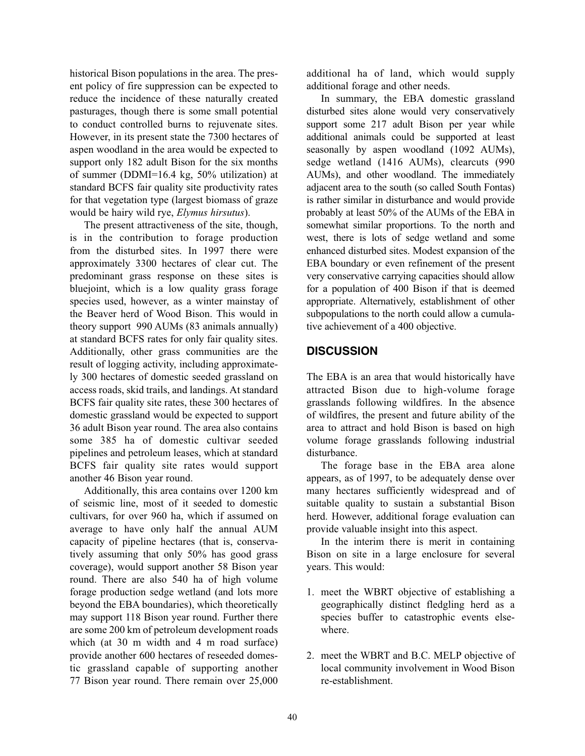historical Bison populations in the area. The present policy of fire suppression can be expected to reduce the incidence of these naturally created pasturages, though there is some small potential to conduct controlled burns to rejuvenate sites. However, in its present state the 7300 hectares of aspen woodland in the area would be expected to support only 182 adult Bison for the six months of summer (DDMI=16.4 kg, 50% utilization) at standard BCFS fair quality site productivity rates for that vegetation type (largest biomass of graze would be hairy wild rye, *Elymus hirsutus*).

The present attractiveness of the site, though, is in the contribution to forage production from the disturbed sites. In 1997 there were approximately 3300 hectares of clear cut. The predominant grass response on these sites is bluejoint, which is a low quality grass forage species used, however, as a winter mainstay of the Beaver herd of Wood Bison. This would in theory support 990 AUMs (83 animals annually) at standard BCFS rates for only fair quality sites. Additionally, other grass communities are the result of logging activity, including approximately 300 hectares of domestic seeded grassland on access roads, skid trails, and landings. At standard BCFS fair quality site rates, these 300 hectares of domestic grassland would be expected to support 36 adult Bison year round. The area also contains some 385 ha of domestic cultivar seeded pipelines and petroleum leases, which at standard BCFS fair quality site rates would support another 46 Bison year round.

Additionally, this area contains over 1200 km of seismic line, most of it seeded to domestic cultivars, for over 960 ha, which if assumed on average to have only half the annual AUM capacity of pipeline hectares (that is, conservatively assuming that only 50% has good grass coverage), would support another 58 Bison year round. There are also 540 ha of high volume forage production sedge wetland (and lots more beyond the EBA boundaries), which theoretically may support 118 Bison year round. Further there are some 200 km of petroleum development roads which (at 30 m width and 4 m road surface) provide another 600 hectares of reseeded domestic grassland capable of supporting another 77 Bison year round. There remain over 25,000

additional ha of land, which would supply additional forage and other needs.

In summary, the EBA domestic grassland disturbed sites alone would very conservatively support some 217 adult Bison per year while additional animals could be supported at least seasonally by aspen woodland (1092 AUMs), sedge wetland (1416 AUMs), clearcuts (990 AUMs), and other woodland. The immediately adjacent area to the south (so called South Fontas) is rather similar in disturbance and would provide probably at least 50% of the AUMs of the EBA in somewhat similar proportions. To the north and west, there is lots of sedge wetland and some enhanced disturbed sites. Modest expansion of the EBA boundary or even refinement of the present very conservative carrying capacities should allow for a population of 400 Bison if that is deemed appropriate. Alternatively, establishment of other subpopulations to the north could allow a cumulative achievement of a 400 objective.

### **DISCUSSION**

The EBA is an area that would historically have attracted Bison due to high-volume forage grasslands following wildfires. In the absence of wildfires, the present and future ability of the area to attract and hold Bison is based on high volume forage grasslands following industrial disturbance.

The forage base in the EBA area alone appears, as of 1997, to be adequately dense over many hectares sufficiently widespread and of suitable quality to sustain a substantial Bison herd. However, additional forage evaluation can provide valuable insight into this aspect.

In the interim there is merit in containing Bison on site in a large enclosure for several years. This would:

- 1. meet the WBRT objective of establishing a geographically distinct fledgling herd as a species buffer to catastrophic events elsewhere.
- 2. meet the WBRT and B.C. MELP objective of local community involvement in Wood Bison re-establishment.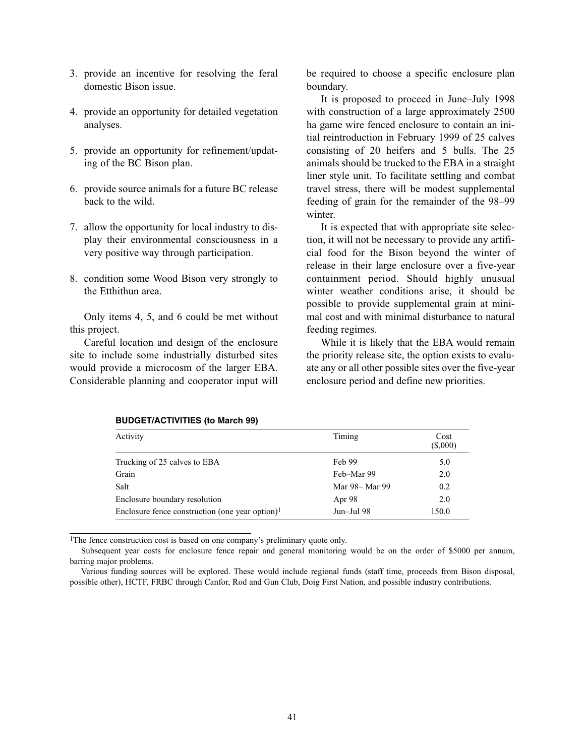- 3. provide an incentive for resolving the feral domestic Bison issue.
- 4. provide an opportunity for detailed vegetation analyses.
- 5. provide an opportunity for refinement/updating of the BC Bison plan.
- 6. provide source animals for a future BC release back to the wild.
- 7. allow the opportunity for local industry to display their environmental consciousness in a very positive way through participation.
- 8. condition some Wood Bison very strongly to the Etthithun area.

Only items 4, 5, and 6 could be met without this project.

Careful location and design of the enclosure site to include some industrially disturbed sites would provide a microcosm of the larger EBA. Considerable planning and cooperator input will

be required to choose a specific enclosure plan boundary.

It is proposed to proceed in June–July 1998 with construction of a large approximately 2500 ha game wire fenced enclosure to contain an initial reintroduction in February 1999 of 25 calves consisting of 20 heifers and 5 bulls. The 25 animals should be trucked to the EBA in a straight liner style unit. To facilitate settling and combat travel stress, there will be modest supplemental feeding of grain for the remainder of the 98–99 winter.

It is expected that with appropriate site selection, it will not be necessary to provide any artificial food for the Bison beyond the winter of release in their large enclosure over a five-year containment period. Should highly unusual winter weather conditions arise, it should be possible to provide supplemental grain at minimal cost and with minimal disturbance to natural feeding regimes.

While it is likely that the EBA would remain the priority release site, the option exists to evaluate any or all other possible sites over the five-year enclosure period and define new priorities.

| Activity                                           | Timing         | Cost<br>(\$,000) |
|----------------------------------------------------|----------------|------------------|
|                                                    |                |                  |
| Trucking of 25 calves to EBA                       | Feb 99         | 5.0              |
| Grain                                              | Feb-Mar 99     | 2.0              |
| Salt                                               | Mar 98– Mar 99 | 0.2              |
| Enclosure boundary resolution                      | Apr 98         | 2.0              |
| Enclosure fence construction (one year option) $1$ | Jun-Jul 98     | 150.0            |

#### **BUDGET/ACTIVITIES (to March 99)**

<sup>1</sup>The fence construction cost is based on one company's preliminary quote only.

Subsequent year costs for enclosure fence repair and general monitoring would be on the order of \$5000 per annum, barring major problems.

Various funding sources will be explored. These would include regional funds (staff time, proceeds from Bison disposal, possible other), HCTF, FRBC through Canfor, Rod and Gun Club, Doig First Nation, and possible industry contributions.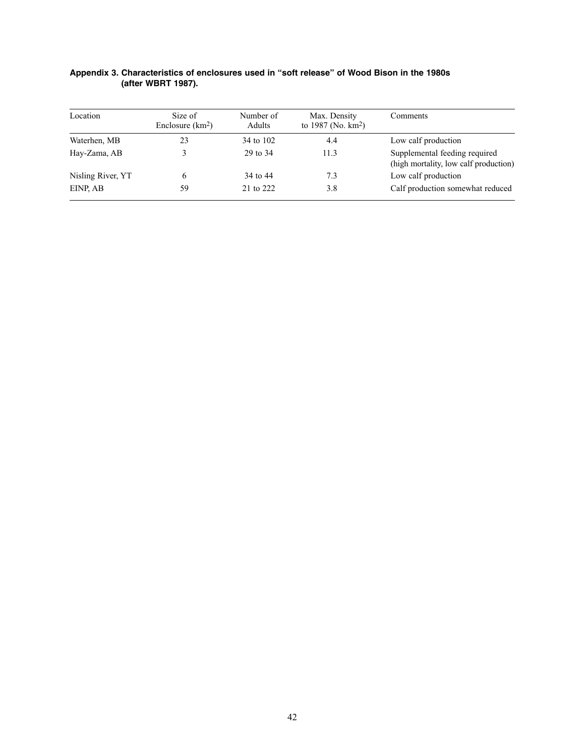| Location          | Size of<br>Enclosure $(km2)$ | Number of<br>Adults | Max. Density<br>to 1987 (No. $km^2$ ) | Comments                                                               |
|-------------------|------------------------------|---------------------|---------------------------------------|------------------------------------------------------------------------|
| Waterhen, MB      | 23                           | 34 to 102           | 4.4                                   | Low calf production                                                    |
| Hay-Zama, AB      |                              | 29 to 34            | 11.3                                  | Supplemental feeding required<br>(high mortality, low calf production) |
| Nisling River, YT |                              | 34 to 44            | 7.3                                   | Low calf production                                                    |
| EINP, AB          | 59                           | 21 to 222           | 3.8                                   | Calf production somewhat reduced                                       |

| Appendix 3. Characteristics of enclosures used in "soft release" of Wood Bison in the 1980s |  |  |  |
|---------------------------------------------------------------------------------------------|--|--|--|
| (after WBRT 1987).                                                                          |  |  |  |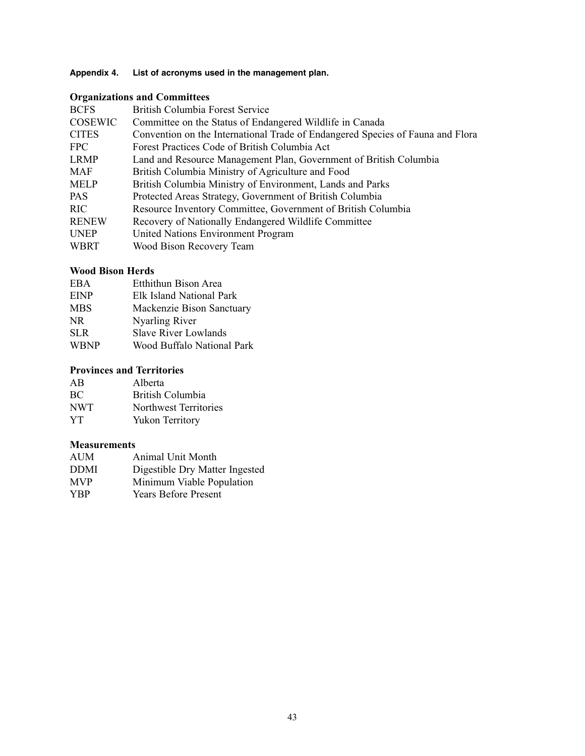### **Appendix 4. List of acronyms used in the management plan.**

## **Organizations and Committees**

| <b>BCFS</b>    | British Columbia Forest Service                                                |
|----------------|--------------------------------------------------------------------------------|
| <b>COSEWIC</b> | Committee on the Status of Endangered Wildlife in Canada                       |
| <b>CITES</b>   | Convention on the International Trade of Endangered Species of Fauna and Flora |
| FPC            | Forest Practices Code of British Columbia Act                                  |
| <b>LRMP</b>    | Land and Resource Management Plan, Government of British Columbia              |
| MAF            | British Columbia Ministry of Agriculture and Food                              |
| <b>MELP</b>    | British Columbia Ministry of Environment, Lands and Parks                      |
| PAS.           | Protected Areas Strategy, Government of British Columbia                       |
| RIC            | Resource Inventory Committee, Government of British Columbia                   |
| <b>RENEW</b>   | Recovery of Nationally Endangered Wildlife Committee                           |
| <b>UNEP</b>    | United Nations Environment Program                                             |
| WBRT           | Wood Bison Recovery Team                                                       |

#### **Wood Bison Herds**

| EBA.        | Etthithun Bison Area        |
|-------------|-----------------------------|
| <b>EINP</b> | Elk Island National Park    |
| <b>MBS</b>  | Mackenzie Bison Sanctuary   |
| NR.         | <b>Nyarling River</b>       |
| SLR.        | <b>Slave River Lowlands</b> |
| <b>WBNP</b> | Wood Buffalo National Park  |

### **Provinces and Territories**

| AB         | Alberta                |
|------------|------------------------|
| <b>BC</b>  | British Columbia       |
| <b>NWT</b> | Northwest Territories  |
| YT.        | <b>Yukon Territory</b> |

#### **Measurements**

| AUM         | <b>Animal Unit Month</b>       |
|-------------|--------------------------------|
| <b>DDMI</b> | Digestible Dry Matter Ingested |
| <b>MVP</b>  | Minimum Viable Population      |
| <b>YBP</b>  | <b>Years Before Present</b>    |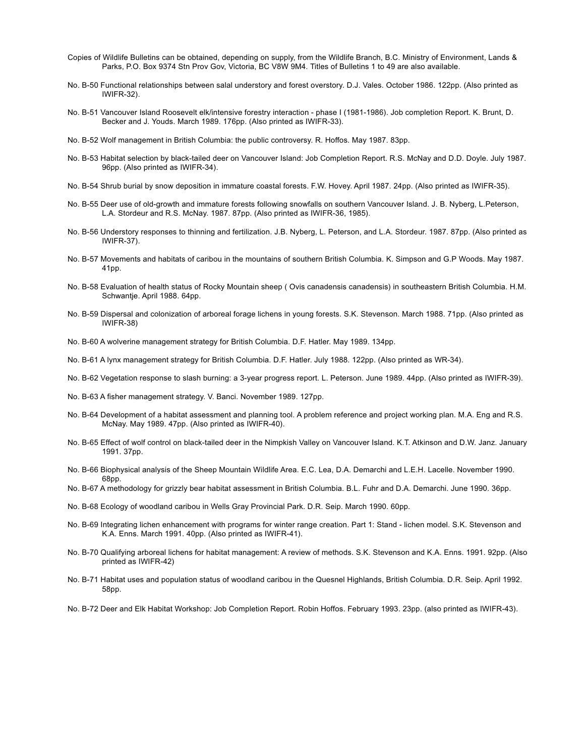- Copies of Wildlife Bulletins can be obtained, depending on supply, from the Wildlife Branch, B.C. Ministry of Environment, Lands & Parks, P.O. Box 9374 Stn Prov Gov, Victoria, BC V8W 9M4. Titles of Bulletins 1 to 49 are also available.
- No. B-50 Functional relationships between salal understory and forest overstory. D.J. Vales. October 1986. 122pp. (Also printed as IWIFR-32).
- No. B-51 Vancouver Island Roosevelt elk/intensive forestry interaction phase I (1981-1986). Job completion Report. K. Brunt, D. Becker and J. Youds. March 1989. 176pp. (Also printed as IWIFR-33).
- No. B-52 Wolf management in British Columbia: the public controversy. R. Hoffos. May 1987. 83pp.
- No. B-53 Habitat selection by black-tailed deer on Vancouver Island: Job Completion Report. R.S. McNay and D.D. Doyle. July 1987. 96pp. (Also printed as IWIFR-34).
- No. B-54 Shrub burial by snow deposition in immature coastal forests. F.W. Hovey. April 1987. 24pp. (Also printed as IWIFR-35).
- No. B-55 Deer use of old-growth and immature forests following snowfalls on southern Vancouver Island. J. B. Nyberg, L.Peterson, L.A. Stordeur and R.S. McNay. 1987. 87pp. (Also printed as IWIFR-36, 1985).
- No. B-56 Understory responses to thinning and fertilization. J.B. Nyberg, L. Peterson, and L.A. Stordeur. 1987. 87pp. (Also printed as IWIFR-37).
- No. B-57 Movements and habitats of caribou in the mountains of southern British Columbia. K. Simpson and G.P Woods. May 1987. 41pp.
- No. B-58 Evaluation of health status of Rocky Mountain sheep ( Ovis canadensis canadensis) in southeastern British Columbia. H.M. Schwantje. April 1988. 64pp.
- No. B-59 Dispersal and colonization of arboreal forage lichens in young forests. S.K. Stevenson. March 1988. 71pp. (Also printed as IWIFR-38)
- No. B-60 A wolverine management strategy for British Columbia. D.F. Hatler. May 1989. 134pp.
- No. B-61 A lynx management strategy for British Columbia. D.F. Hatler. July 1988. 122pp. (Also printed as WR-34).
- No. B-62 Vegetation response to slash burning: a 3-year progress report. L. Peterson. June 1989. 44pp. (Also printed as IWIFR-39).
- No. B-63 A fisher management strategy. V. Banci. November 1989. 127pp.
- No. B-64 Development of a habitat assessment and planning tool. A problem reference and project working plan. M.A. Eng and R.S. McNay. May 1989. 47pp. (Also printed as IWIFR-40).
- No. B-65 Effect of wolf control on black-tailed deer in the Nimpkish Valley on Vancouver Island. K.T. Atkinson and D.W. Janz. January 1991. 37pp.
- No. B-66 Biophysical analysis of the Sheep Mountain Wildlife Area. E.C. Lea, D.A. Demarchi and L.E.H. Lacelle. November 1990. 68pp.
- No. B-67 A methodology for grizzly bear habitat assessment in British Columbia. B.L. Fuhr and D.A. Demarchi. June 1990. 36pp.
- No. B-68 Ecology of woodland caribou in Wells Gray Provincial Park. D.R. Seip. March 1990. 60pp.
- No. B-69 Integrating lichen enhancement with programs for winter range creation. Part 1: Stand lichen model. S.K. Stevenson and K.A. Enns. March 1991. 40pp. (Also printed as IWIFR-41).
- No. B-70 Qualifying arboreal lichens for habitat management: A review of methods. S.K. Stevenson and K.A. Enns. 1991. 92pp. (Also printed as IWIFR-42)
- No. B-71 Habitat uses and population status of woodland caribou in the Quesnel Highlands, British Columbia. D.R. Seip. April 1992. 58pp.
- No. B-72 Deer and Elk Habitat Workshop: Job Completion Report. Robin Hoffos. February 1993. 23pp. (also printed as IWIFR-43).